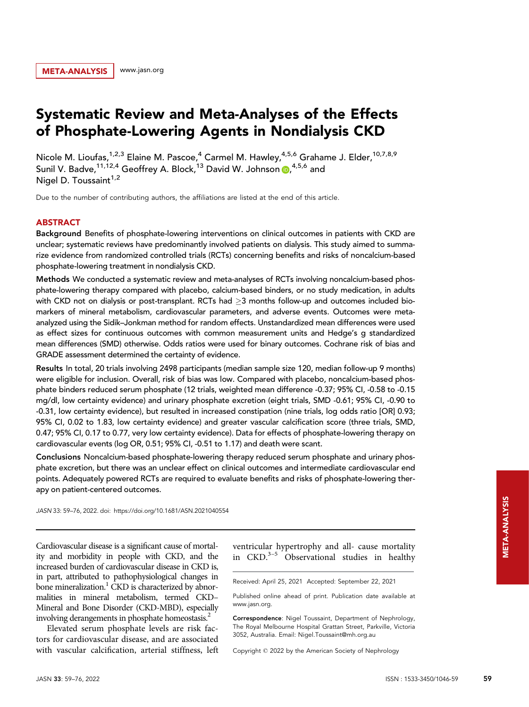# Systematic Review and Meta-Analyses of the Effects of Phosphate-Lowering Agents in Nondialysis CKD

Nicole M. Lioufas,<sup>1,2,3</sup> Elaine M. Pascoe,<sup>4</sup> Carmel M. Hawley,<sup>4,5,6</sup> Grahame J. Elder,<sup>10,7,8,9</sup> Sunil V. Badve,<sup>11,12,4</sup> Geoffrey A. Block,<sup>13</sup> David W. Johnson @,<sup>4,5,6</sup> and Nigel D. Toussaint $1,2$ 

Due to the number of contributing authors, the affiliations are listed at the end of this article.

# ABSTRACT

Background Benefits of phosphate-lowering interventions on clinical outcomes in patients with CKD are unclear; systematic reviews have predominantly involved patients on dialysis. This study aimed to summarize evidence from randomized controlled trials (RCTs) concerning benefits and risks of noncalcium-based phosphate-lowering treatment in nondialysis CKD.

Methods We conducted a systematic review and meta-analyses of RCTs involving noncalcium-based phosphate-lowering therapy compared with placebo, calcium-based binders, or no study medication, in adults with CKD not on dialysis or post-transplant. RCTs had  $\geq$ 3 months follow-up and outcomes included biomarkers of mineral metabolism, cardiovascular parameters, and adverse events. Outcomes were metaanalyzed using the Sidik–Jonkman method for random effects. Unstandardized mean differences were used as effect sizes for continuous outcomes with common measurement units and Hedge's g standardized mean differences (SMD) otherwise. Odds ratios were used for binary outcomes. Cochrane risk of bias and GRADE assessment determined the certainty of evidence.

Results In total, 20 trials involving 2498 participants (median sample size 120, median follow-up 9 months) were eligible for inclusion. Overall, risk of bias was low. Compared with placebo, noncalcium-based phosphate binders reduced serum phosphate (12 trials, weighted mean difference -0.37; 95% CI, -0.58 to -0.15 mg/dl, low certainty evidence) and urinary phosphate excretion (eight trials, SMD -0.61; 95% CI, -0.90 to -0.31, low certainty evidence), but resulted in increased constipation (nine trials, log odds ratio [OR] 0.93; 95% CI, 0.02 to 1.83, low certainty evidence) and greater vascular calcification score (three trials, SMD, 0.47; 95% CI, 0.17 to 0.77, very low certainty evidence). Data for effects of phosphate-lowering therapy on cardiovascular events (log OR, 0.51; 95% CI, -0.51 to 1.17) and death were scant.

Conclusions Noncalcium-based phosphate-lowering therapy reduced serum phosphate and urinary phosphate excretion, but there was an unclear effect on clinical outcomes and intermediate cardiovascular end points. Adequately powered RCTs are required to evaluate benefits and risks of phosphate-lowering therapy on patient-centered outcomes.

JASN 33: 59–76, 2022. doi:<https://doi.org/10.1681/ASN.2021040554>

Cardiovascular disease is a significant cause of mortality and morbidity in people with CKD, and the increased burden of cardiovascular disease in CKD is, in part, attributed to pathophysiological changes in bone mineralization.<sup>1</sup> CKD is characterized by abnormalities in mineral metabolism, termed CKD– Mineral and Bone Disorder (CKD-MBD), especially involving derangements in phosphate homeostasis.<sup>2</sup>

Elevated serum phosphate levels are risk factors for cardiovascular disease, and are associated with vascular calcification, arterial stiffness, left ventricular hypertrophy and all- cause mortality in  $CKD.<sup>3-5</sup>$  Observational studies in healthy

Received: April 25, 2021 Accepted: September 22, 2021

Correspondence: Nigel Toussaint, Department of Nephrology, The Royal Melbourne Hospital Grattan Street, Parkville, Victoria 3052, Australia. Email: [Nigel.Toussaint@mh.org.au](mailto:Nigel.Toussaint@mh.org.au)

Copyright 2022 by the American Society of Nephrology

Published online ahead of print. Publication date available at [www.jasn.org](http://www.jasn.org).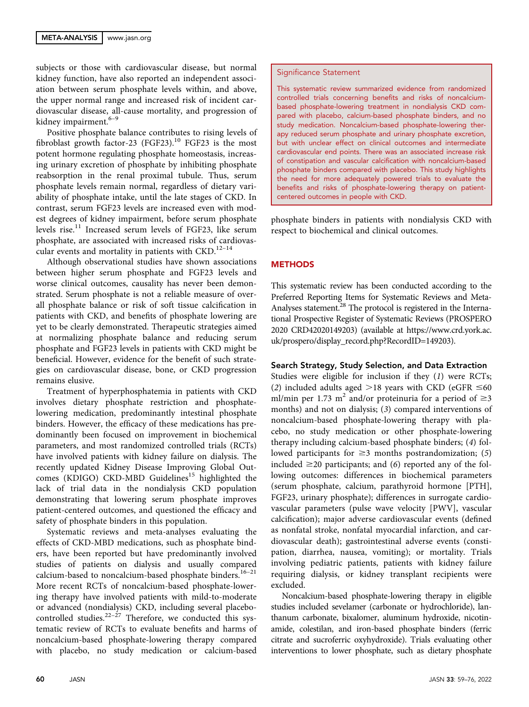subjects or those with cardiovascular disease, but normal kidney function, have also reported an independent association between serum phosphate levels within, and above, the upper normal range and increased risk of incident cardiovascular disease, all-cause mortality, and progression of kidney impairment.<sup>6-9</sup>

Positive phosphate balance contributes to rising levels of fibroblast growth factor-23 (FGF23).<sup>10</sup> FGF23 is the most potent hormone regulating phosphate homeostasis, increasing urinary excretion of phosphate by inhibiting phosphate reabsorption in the renal proximal tubule. Thus, serum phosphate levels remain normal, regardless of dietary variability of phosphate intake, until the late stages of CKD. In contrast, serum FGF23 levels are increased even with modest degrees of kidney impairment, before serum phosphate levels rise.<sup>11</sup> Increased serum levels of FGF23, like serum phosphate, are associated with increased risks of cardiovascular events and mortality in patients with CKD.<sup>12-14</sup>

Although observational studies have shown associations between higher serum phosphate and FGF23 levels and worse clinical outcomes, causality has never been demonstrated. Serum phosphate is not a reliable measure of overall phosphate balance or risk of soft tissue calcification in patients with CKD, and benefits of phosphate lowering are yet to be clearly demonstrated. Therapeutic strategies aimed at normalizing phosphate balance and reducing serum phosphate and FGF23 levels in patients with CKD might be beneficial. However, evidence for the benefit of such strategies on cardiovascular disease, bone, or CKD progression remains elusive.

Treatment of hyperphosphatemia in patients with CKD involves dietary phosphate restriction and phosphatelowering medication, predominantly intestinal phosphate binders. However, the efficacy of these medications has predominantly been focused on improvement in biochemical parameters, and most randomized controlled trials (RCTs) have involved patients with kidney failure on dialysis. The recently updated Kidney Disease Improving Global Outcomes (KDIGO) CKD-MBD Guidelines<sup>15</sup> highlighted the lack of trial data in the nondialysis CKD population demonstrating that lowering serum phosphate improves patient-centered outcomes, and questioned the efficacy and safety of phosphate binders in this population.

Systematic reviews and meta-analyses evaluating the effects of CKD-MBD medications, such as phosphate binders, have been reported but have predominantly involved studies of patients on dialysis and usually compared calcium-based to noncalcium-based phosphate binders.<sup>16-21</sup> More recent RCTs of noncalcium-based phosphate-lowering therapy have involved patients with mild-to-moderate or advanced (nondialysis) CKD, including several placebocontrolled studies. $22-27$  Therefore, we conducted this systematic review of RCTs to evaluate benefits and harms of noncalcium-based phosphate-lowering therapy compared with placebo, no study medication or calcium-based Significance Statement

This systematic review summarized evidence from randomized controlled trials concerning benefits and risks of noncalciumbased phosphate-lowering treatment in nondialysis CKD compared with placebo, calcium-based phosphate binders, and no study medication. Noncalcium-based phosphate-lowering therapy reduced serum phosphate and urinary phosphate excretion, but with unclear effect on clinical outcomes and intermediate cardiovascular end points. There was an associated increase risk of constipation and vascular calcification with noncalcium-based phosphate binders compared with placebo. This study highlights the need for more adequately powered trials to evaluate the benefits and risks of phosphate-lowering therapy on patientcentered outcomes in people with CKD.

phosphate binders in patients with nondialysis CKD with respect to biochemical and clinical outcomes.

# **METHODS**

This systematic review has been conducted according to the Preferred Reporting Items for Systematic Reviews and Meta-Analyses statement.<sup>28</sup> The protocol is registered in the International Prospective Register of Systematic Reviews (PROSPERO 2020 CRD42020149203) (available at [https://www.crd.york.ac.](https://www.crd.york.ac.uk/prospero/display_record.php?RecordID=149203) [uk/prospero/display\\_record.php?RecordID=149203\)](https://www.crd.york.ac.uk/prospero/display_record.php?RecordID=149203).

# Search Strategy, Study Selection, and Data Extraction

Studies were eligible for inclusion if they (1) were RCTs; (2) included adults aged  $>18$  years with CKD (eGFR  $\leq 60$ ml/min per 1.73 m<sup>2</sup> and/or proteinuria for a period of  $\geq$ 3 months) and not on dialysis; (3) compared interventions of noncalcium-based phosphate-lowering therapy with placebo, no study medication or other phosphate-lowering therapy including calcium-based phosphate binders; (4) followed participants for  $\geq$ 3 months postrandomization; (5) included  $\geq$ 20 participants; and (6) reported any of the following outcomes: differences in biochemical parameters (serum phosphate, calcium, parathyroid hormone [PTH], FGF23, urinary phosphate); differences in surrogate cardiovascular parameters (pulse wave velocity [PWV], vascular calcification); major adverse cardiovascular events (defined as nonfatal stroke, nonfatal myocardial infarction, and cardiovascular death); gastrointestinal adverse events (constipation, diarrhea, nausea, vomiting); or mortality. Trials involving pediatric patients, patients with kidney failure requiring dialysis, or kidney transplant recipients were excluded.

Noncalcium-based phosphate-lowering therapy in eligible studies included sevelamer (carbonate or hydrochloride), lanthanum carbonate, bixalomer, aluminum hydroxide, nicotinamide, colestilan, and iron-based phosphate binders (ferric citrate and sucroferric oxyhydroxide). Trials evaluating other interventions to lower phosphate, such as dietary phosphate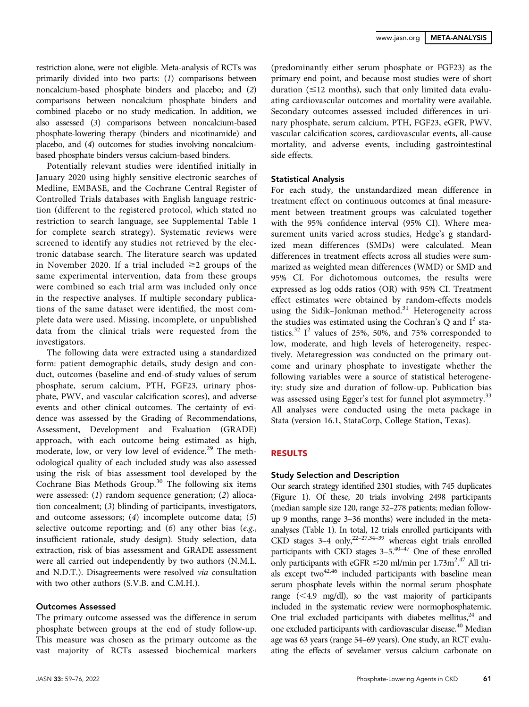restriction alone, were not eligible. Meta-analysis of RCTs was primarily divided into two parts: (1) comparisons between noncalcium-based phosphate binders and placebo; and (2) comparisons between noncalcium phosphate binders and combined placebo or no study medication. In addition, we also assessed (3) comparisons between noncalcium-based phosphate-lowering therapy (binders and nicotinamide) and placebo, and (4) outcomes for studies involving noncalciumbased phosphate binders versus calcium-based binders.

Potentially relevant studies were identified initially in January 2020 using highly sensitive electronic searches of Medline, EMBASE, and the Cochrane Central Register of Controlled Trials databases with English language restriction (different to the registered protocol, which stated no restriction to search language, see [Supplemental Table 1](http://jasn.asnjournals.org/lookup/suppl/doi:10.1681/ASN.2021040554/-/DCSupplemental) for complete search strategy). Systematic reviews were screened to identify any studies not retrieved by the electronic database search. The literature search was updated in November 2020. If a trial included  $\geq 2$  groups of the same experimental intervention, data from these groups were combined so each trial arm was included only once in the respective analyses. If multiple secondary publications of the same dataset were identified, the most complete data were used. Missing, incomplete, or unpublished data from the clinical trials were requested from the investigators.

The following data were extracted using a standardized form: patient demographic details, study design and conduct, outcomes (baseline and end-of-study values of serum phosphate, serum calcium, PTH, FGF23, urinary phosphate, PWV, and vascular calcification scores), and adverse events and other clinical outcomes. The certainty of evidence was assessed by the Grading of Recommendations, Assessment, Development and Evaluation (GRADE) approach, with each outcome being estimated as high, moderate, low, or very low level of evidence.<sup>29</sup> The methodological quality of each included study was also assessed using the risk of bias assessment tool developed by the Cochrane Bias Methods Group.<sup>30</sup> The following six items were assessed: (1) random sequence generation; (2) allocation concealment; (3) blinding of participants, investigators, and outcome assessors; (4) incomplete outcome data; (5) selective outcome reporting; and (6) any other bias (e.g., insufficient rationale, study design). Study selection, data extraction, risk of bias assessment and GRADE assessment were all carried out independently by two authors (N.M.L. and N.D.T.). Disagreements were resolved via consultation with two other authors (S.V.B. and C.M.H.).

#### Outcomes Assessed

The primary outcome assessed was the difference in serum phosphate between groups at the end of study follow-up. This measure was chosen as the primary outcome as the vast majority of RCTs assessed biochemical markers

(predominantly either serum phosphate or FGF23) as the primary end point, and because most studies were of short duration  $(\leq 12$  months), such that only limited data evaluating cardiovascular outcomes and mortality were available. Secondary outcomes assessed included differences in urinary phosphate, serum calcium, PTH, FGF23, eGFR, PWV, vascular calcification scores, cardiovascular events, all-cause mortality, and adverse events, including gastrointestinal side effects.

## Statistical Analysis

For each study, the unstandardized mean difference in treatment effect on continuous outcomes at final measurement between treatment groups was calculated together with the 95% confidence interval (95% CI). Where measurement units varied across studies, Hedge's g standardized mean differences (SMDs) were calculated. Mean differences in treatment effects across all studies were summarized as weighted mean differences (WMD) or SMD and 95% CI. For dichotomous outcomes, the results were expressed as log odds ratios (OR) with 95% CI. Treatment effect estimates were obtained by random-effects models using the Sidik–Jonkman method. $31$  Heterogeneity across the studies was estimated using the Cochran's Q and  $I^2$  statistics. $32 \text{ } I^2$  values of 25%, 50%, and 75% corresponded to low, moderate, and high levels of heterogeneity, respectively. Metaregression was conducted on the primary outcome and urinary phosphate to investigate whether the following variables were a source of statistical heterogeneity: study size and duration of follow-up. Publication bias was assessed using Egger's test for funnel plot asymmetry.<sup>33</sup> All analyses were conducted using the meta package in Stata (version 16.1, StataCorp, College Station, Texas).

# RESULTS

## Study Selection and Description

Our search strategy identified 2301 studies, with 745 duplicates (Figure 1). Of these, 20 trials involving 2498 participants (median sample size 120, range 32–278 patients; median followup 9 months, range 3–36 months) were included in the metaanalyses (Table 1). In total, 12 trials enrolled participants with CKD stages  $3-4$  only,<sup>22-27,34-39</sup> whereas eight trials enrolled participants with CKD stages  $3-5$ .<sup>40–47</sup> One of these enrolled only participants with eGFR  $\leq$  20 ml/min per 1.73m<sup>2.47</sup> All trials except two<sup>42,46</sup> included participants with baseline mean serum phosphate levels within the normal serum phosphate range  $( $4.9 \, \text{mg/dl})$ , so the vast majority of participants$ included in the systematic review were normophosphatemic. One trial excluded participants with diabetes mellitus, $^{24}$  and one excluded participants with cardiovascular disease.<sup>40</sup> Median age was 63 years (range 54–69 years). One study, an RCT evaluating the effects of sevelamer versus calcium carbonate on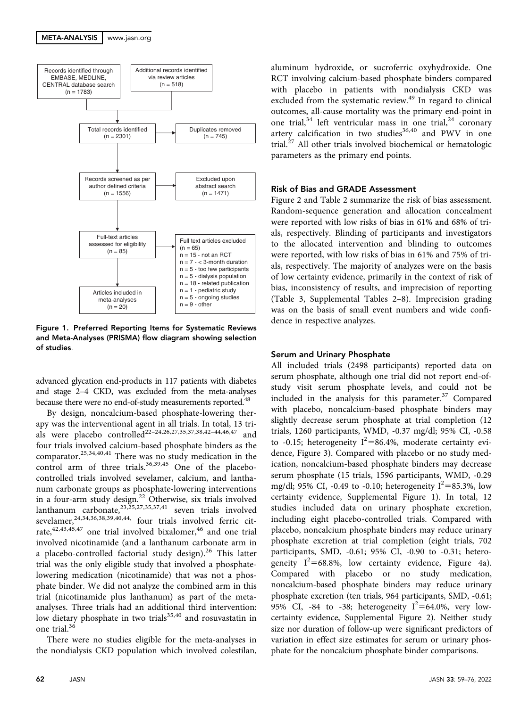

Figure 1. Preferred Reporting Items for Systematic Reviews and Meta-Analyses (PRISMA) flow diagram showing selection of studies.

advanced glycation end-products in 117 patients with diabetes and stage 2–4 CKD, was excluded from the meta-analyses because there were no end-of-study measurements reported.<sup>48</sup>

By design, noncalcium-based phosphate-lowering therapy was the interventional agent in all trials. In total, 13 trials were placebo controlled<sup>22–24,26,27,35,37,38,42–44,46,47</sup> and four trials involved calcium-based phosphate binders as the comparator.25,34,40,41 There was no study medication in the control arm of three trials. $36,39,45$  One of the placebocontrolled trials involved sevelamer, calcium, and lanthanum carbonate groups as phosphate-lowering interventions in a four-arm study design.<sup>22</sup> Otherwise, six trials involved lanthanum carbonate,  $^{23,25,27,35,37,41}$  seven trials involved sevelamer, $24,34,36,38,39,40,44$ , four trials involved ferric citrate,<sup>42,43,45,47</sup> one trial involved bixalomer,<sup>46</sup> and one trial involved nicotinamide (and a lanthanum carbonate arm in a placebo-controlled factorial study design).<sup>26</sup> This latter trial was the only eligible study that involved a phosphatelowering medication (nicotinamide) that was not a phosphate binder. We did not analyze the combined arm in this trial (nicotinamide plus lanthanum) as part of the metaanalyses. Three trials had an additional third intervention: low dietary phosphate in two trials<sup>35,40</sup> and rosuvastatin in one trial. $36$ 

There were no studies eligible for the meta-analyses in the nondialysis CKD population which involved colestilan,

aluminum hydroxide, or sucroferric oxyhydroxide. One RCT involving calcium-based phosphate binders compared with placebo in patients with nondialysis CKD was excluded from the systematic review.<sup>49</sup> In regard to clinical outcomes, all-cause mortality was the primary end-point in one trial, $34$  left ventricular mass in one trial, $24$  coronary artery calcification in two studies $36,40$  and PWV in one trial.<sup>27</sup> All other trials involved biochemical or hematologic parameters as the primary end points.

## Risk of Bias and GRADE Assessment

Figure 2 and Table 2 summarize the risk of bias assessment. Random-sequence generation and allocation concealment were reported with low risks of bias in 61% and 68% of trials, respectively. Blinding of participants and investigators to the allocated intervention and blinding to outcomes were reported, with low risks of bias in 61% and 75% of trials, respectively. The majority of analyzes were on the basis of low certainty evidence, primarily in the context of risk of bias, inconsistency of results, and imprecision of reporting (Table 3, [Supplemental Tables 2](http://jasn.asnjournals.org/lookup/suppl/doi:10.1681/ASN.2021040554/-/DCSupplemental)–8). Imprecision grading was on the basis of small event numbers and wide confidence in respective analyzes.

# Serum and Urinary Phosphate

All included trials (2498 participants) reported data on serum phosphate, although one trial did not report end-ofstudy visit serum phosphate levels, and could not be included in the analysis for this parameter.<sup>37</sup> Compared with placebo, noncalcium-based phosphate binders may slightly decrease serum phosphate at trial completion (12 trials, 1260 participants, WMD, -0.37 mg/dl; 95% CI, -0.58 to -0.15; heterogeneity  $I^2 = 86.4\%$ , moderate certainty evidence, Figure 3). Compared with placebo or no study medication, noncalcium-based phosphate binders may decrease serum phosphate (15 trials, 1596 participants, WMD, -0.29 mg/dl; 95% CI, -0.49 to -0.10; heterogeneity  $I^2 = 85.3$ %, low certainty evidence, [Supplemental Figure 1\)](http://jasn.asnjournals.org/lookup/suppl/doi:10.1681/ASN.2021040554/-/DCSupplemental). In total, 12 studies included data on urinary phosphate excretion, including eight placebo-controlled trials. Compared with placebo, noncalcium phosphate binders may reduce urinary phosphate excretion at trial completion (eight trials, 702 participants, SMD, -0.61; 95% CI, -0.90 to -0.31; heterogeneity  $I^2 = 68.8\%$ , low certainty evidence, Figure 4a). Compared with placebo or no study medication, noncalcium-based phosphate binders may reduce urinary phosphate excretion (ten trials, 964 participants, SMD, -0.61; 95% CI, -84 to -38; heterogeneity  $I^2 = 64.0$ %, very lowcertainty evidence, [Supplemental Figure 2](http://jasn.asnjournals.org/lookup/suppl/doi:10.1681/ASN.2021040554/-/DCSupplemental)). Neither study size nor duration of follow-up were significant predictors of variation in effect size estimates for serum or urinary phosphate for the noncalcium phosphate binder comparisons.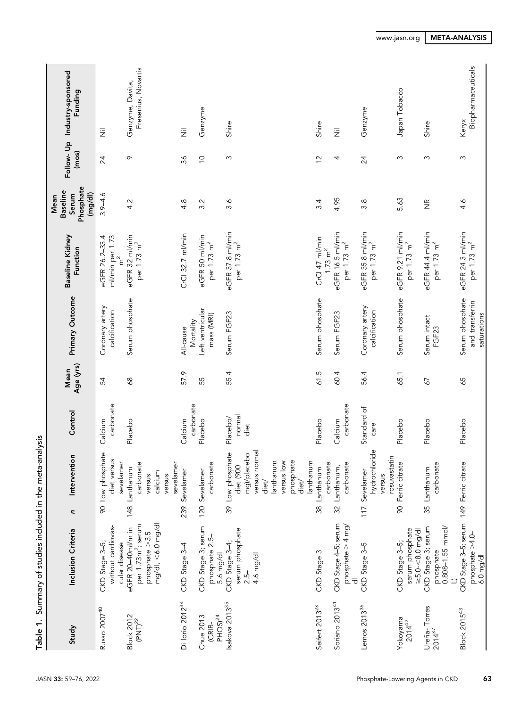| Table 1.                                         | Summary of studies included in the meta-analysis                                              |     |                                                                                                                         |                            |                   |                                                   |                                                                     |                                                         |                |                                          |
|--------------------------------------------------|-----------------------------------------------------------------------------------------------|-----|-------------------------------------------------------------------------------------------------------------------------|----------------------------|-------------------|---------------------------------------------------|---------------------------------------------------------------------|---------------------------------------------------------|----------------|------------------------------------------|
| Study                                            | Inclusion Criteria                                                                            | C   | Intervention                                                                                                            | Control                    | Age (yrs)<br>Mean | Primary Outcome                                   | Baseline Kidney<br>Function                                         | Phosphate<br><b>Baseline</b><br>(mg/d)<br>Serum<br>Mean | (mos)          | Follow- Up Industry-sponsored<br>Funding |
| Russo 2007 <sup>40</sup>                         | without cardiovas-<br>CKD Stage 3-5;<br>cular disease                                         |     | 90 Low phosphate<br>diet versus<br>sevelamer                                                                            | carbonate<br>Calcium       | 54                | Coronary artery<br>calcification                  | ml/min per 1.73<br>eGFR 26.2-33.4                                   | $3.9 - 4.6$                                             | 24             | 运                                        |
| <b>Block 2012</b><br>$(PNT)^{22}$                | $mg/dl, < 6.0$ mg/dl<br>per 1.73m <sup>2</sup> ; serum<br>eGFR 20-40ml/m in<br>phosphate >3.5 |     | carbonate<br>148 Lanthanum<br>calcium<br>versus<br>versus                                                               | Placebo                    | $\frac{8}{6}$     | Serum phosphate                                   | eGFR 32 ml/min<br>per 1.73 m <sup>2</sup>                           | 4.2                                                     | $\sigma$       | Fresenius, Novartis<br>Genzyme, Davita,  |
| Di lorio 2012 <sup>34</sup>                      | CKD Stage 3-4                                                                                 | 239 | sevelamer<br>Sevelamer                                                                                                  | carbonate<br>Calcium       | 57.9              | Mortality<br>All-cause                            | CrCl 32.7 ml/min                                                    | 4.8                                                     | 36             | 运                                        |
| PHOS) <sup>24</sup><br>Chue 2013<br><b>CRIB-</b> | CKD Stage 3; serum<br>phosphate 2.5-<br>5.6 mg/dl                                             |     | carbonate<br>120 Sevelamer                                                                                              | Placebo                    | 55                | Left ventricular<br>mass (MRI)                    | eGFR 50 ml/min<br>per 1.73 m <sup>2</sup>                           | 3.2                                                     | $\overline{C}$ | Genzyme                                  |
| Isakova 2013 <sup>35</sup>                       | serum phosphate<br>CKD Stage 3-4;<br>4.6 mg/dl<br>$2.5-$                                      |     | versus normal<br>39 Low phosphate<br>mg)/placebo<br>phosphate<br>lanthanum<br>versus low<br>diet (900<br>diet/<br>diet/ | normal<br>Placebo/<br>diet | 55.4              | Serum FGF23                                       | eGFR 37.8 ml/min<br>per 1.73 m <sup>2</sup>                         | $3.\overline{6}$                                        | $\sim$         | Shire                                    |
| Seifert 2013 <sup>23</sup>                       | CKD Stage 3                                                                                   |     | lanthanum<br>38 Lanthanum                                                                                               | Placebo                    | 61.5              | Serum phosphate                                   | CrCl 47 ml/min                                                      | 34                                                      | $\tilde{c}$    | Shire                                    |
| Soriano 2013 <sup>41</sup>                       | CKD Stage 4-5; serum<br>phosphate $>$ 4 mg/                                                   |     | carbonate<br>carbonate<br>32 Lanthanum,                                                                                 | carbonate<br>Calcium       | 60.4              | Serum FGF23                                       | eGFR 16.5 ml/min<br>per 1.73 m <sup>2</sup><br>$1.73 \, \text{m}^2$ | 4.95                                                    | 4              | $\overline{\overline{z}}$                |
| Lemos 2013 <sup>36</sup>                         | CKD Stage 3-5                                                                                 | 117 | hydrochloride<br>rosuvastatin<br>Sevelamer<br>versus                                                                    | Standard of<br>care        | 56.4              | Coronary artery<br>calcification                  | eGFR 35.8 ml/min<br>per 1.73 m <sup>2</sup>                         | $3.\overline{8}$                                        | 24             | Genzyme                                  |
| Yokoyama<br>$2014^{42}$                          | serum phosphate<br>$\geq 5.0 - 8.0$ mg/dl<br>CKD Stage 3-5;                                   | 8   | Ferric citrate                                                                                                          | Placebo                    | 65.1              | Serum phosphate                                   | eGFR 9.21 ml/min<br>per 1.73 m <sup>2</sup>                         | 5.63                                                    | S              | Japan Tobacco                            |
| Ureña-Torres<br>2014 <sup>37</sup>               | $0.808 - 1.55$ mmol/<br>CKD Stage 3; serum<br>phosphate                                       |     | carbonate<br>35 Lanthanum                                                                                               | Placebo                    | 67                | Serum intact<br>FGF23                             | eGFR 44.4 ml/min<br>per 1.73 m <sup>2</sup>                         | $\frac{\alpha}{2}$                                      | $\infty$       | Shire                                    |
| Block 2015 <sup>43</sup>                         | CKD Stage 3-5; serum 149 Ferric citrate<br>phate > 4.0<br>$6.0$ mg/d                          |     |                                                                                                                         | Placebo                    | 65                | Serum phosphate<br>and transferrin<br>saturations | eGFR 24.3 ml/min<br>per 1.73 m <sup>2</sup>                         | 4.6                                                     | S              | Biopharmaceuticals<br>Keryx              |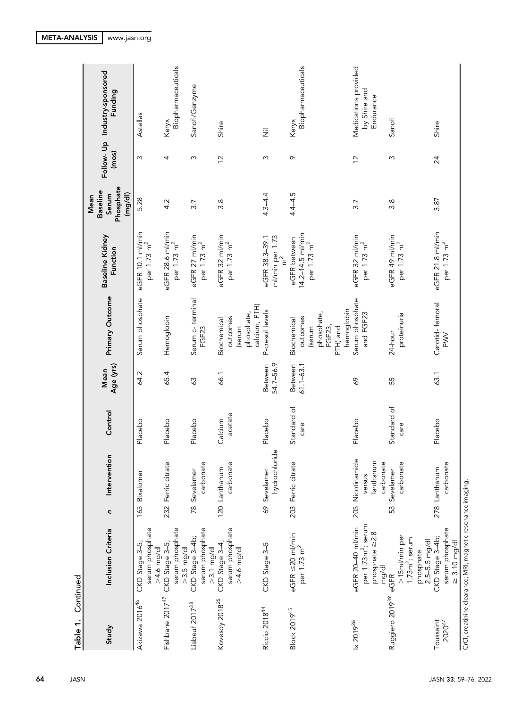|                                                   |                |                                                         |                                                             |                                                   |                          |                     |                                                      | CrCl, creatinine clearance; MRI, magnetic resonance imaging.                         |                             |
|---------------------------------------------------|----------------|---------------------------------------------------------|-------------------------------------------------------------|---------------------------------------------------|--------------------------|---------------------|------------------------------------------------------|--------------------------------------------------------------------------------------|-----------------------------|
| Shire                                             | 24             | 3.87                                                    | eGFR 21.8 ml/min<br>per 1.73 m <sup>2</sup>                 | Carotid-femoral<br>$\geq$                         | 63.1                     | Placebo             | carbonate<br>278 Lanthanum                           | serum phosphate<br>CKD Stage 3-4b;<br>$\geq 3.10$ mg/dl                              | Toussaint<br>$2020^{27}$    |
|                                                   |                |                                                         |                                                             |                                                   |                          | care                | ρ                                                    | $1.73m2$ ; serum<br>$2.5 - 5.5$ mg/dl<br>phosphate                                   |                             |
| Sanofi                                            | S              | 3.8                                                     | eGFR 49 ml/min<br>per 1.73 m <sup>2</sup>                   | proteinuria<br>24-hour                            | 55                       | Standard of         | 53 Sevelamer<br>carbonat                             | >15ml/min per<br>eGFR                                                                | Ruggiero 2019 <sup>39</sup> |
| Medications provided<br>by Shire and<br>Endurance | $\overline{2}$ | 3.7                                                     | eGFR 32 ml/min<br>per 1.73 m <sup>2</sup>                   | Serum phosphate<br>and FGF23                      | 69                       | Placebo             | 205 Nicotinamide<br>lanthanum<br>carbonate<br>versus | per 1.73m <sup>2</sup> ; serum<br>eGFR 20-40 ml/min<br>phosphate $\geq 2.8$<br>mg/dl | lx 2019 <sup>26</sup>       |
|                                                   |                |                                                         |                                                             | hemoglobin<br>phosphate,<br>FGF23,<br>PTH) and    |                          |                     |                                                      |                                                                                      |                             |
| Biopharmaceuticals<br>Keryx                       | $\circ$        | $4.4 - 4.5$                                             | 14.2-14.5 ml/min<br>eGFR between<br>per 1.73 m <sup>2</sup> | outcomes<br>Biochemical<br>(serum                 | Between<br>$61.1 - 63.1$ | Standard of<br>care | 203 Ferric citrate                                   | $eGFR \leq 20$ ml/min<br>per 1.73 m <sup>2</sup>                                     | <b>Block 201945</b>         |
| $\overline{\overline{z}}$                         | S              | $4.3 - 4.4$                                             | ml/min per 1.73<br>eGFR 38.3-39.1<br>$\tilde{\epsilon}$     | P-cresol levels                                   | 54.7-56.9<br>Between     | Placebo             | hydrochloride<br>69 Sevelamer                        | CKD Stage 3-5                                                                        | Riccio 201844               |
|                                                   |                |                                                         | per 1.73 m <sup>2</sup>                                     | calcium, PTH)<br>phosphate,<br>outcomes<br>(serum |                          | acetate             | φ<br>carbonat                                        | serum phosphate<br>$>4.6$ mg/dl                                                      |                             |
| Shire                                             | $\frac{2}{3}$  | 3.8                                                     | eGFR 32 ml/min                                              | Biochemical                                       | 66.1                     | Calcium             | 120 Lanthanum                                        | CKD Stage 3-4;<br>$>3.1$ mg/dl                                                       | Kovesdy 2018 <sup>25</sup>  |
| Sanofi/Genzyme                                    | S              | 3.7                                                     | eGFR 27 ml/min<br>per 1.73 m <sup>2</sup>                   | Serum c-terminal<br>FGF23                         | 63                       | Placebo             | g<br>carbonat<br>78 Sevelamer                        | serum phosphate<br>CKD Stage 3-4b;                                                   | Liabeuf 2017 <sup>38</sup>  |
| Biopharmaceuticals                                |                |                                                         | per 1.73 m <sup>2</sup>                                     |                                                   |                          |                     |                                                      | serum phosphate<br>$>3.5$ mg/dl                                                      |                             |
| Keryx                                             | 4              | 4.2                                                     | eGFR 28.6 ml/min<br>per 1.73 m <sup>2</sup>                 | Hemoglobin                                        | 65.4                     | Placebo             | 232 Ferric citrate                                   | serum phosphate<br>CKD Stage 3-5;<br>$>4.6$ mg/dl                                    | Fishbane 2017 <sup>47</sup> |
| Astellas                                          | S              | 5.28                                                    | eGFR 10.1 ml/min                                            | Serum phosphate                                   | 64.2                     | Placebo             | 163 Bixalomer                                        | CKD Stage 3-5;                                                                       | Akizawa 2016 <sup>46</sup>  |
| Follow- Up Industry-sponsored<br>Funding          | (mos)          | Phosphate<br><b>Baseline</b><br>(mg/d)<br>Serum<br>Mean | Baseline Kidney<br>Function                                 | Primary Outcome                                   | Age (yrs)<br>Mean        | Control             | Intervention<br>C                                    | Inclusion Criteria                                                                   | Study                       |

Table 1. Continued Table 1. Continued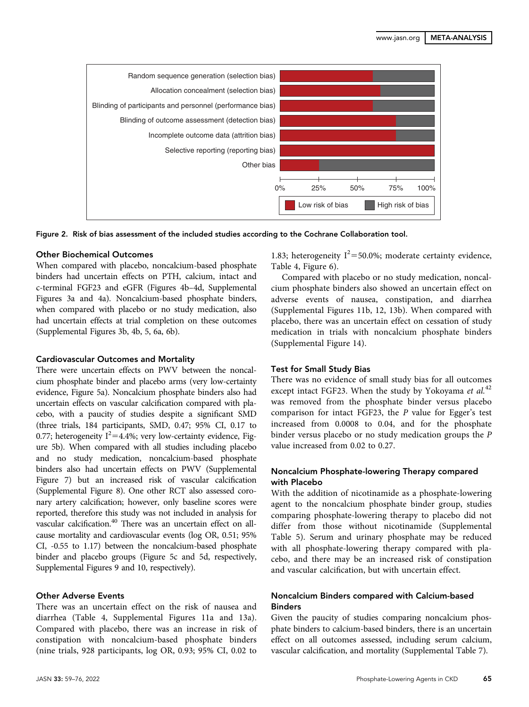

Figure 2. Risk of bias assessment of the included studies according to the Cochrane Collaboration tool.

## Other Biochemical Outcomes

When compared with placebo, noncalcium-based phosphate binders had uncertain effects on PTH, calcium, intact and c-terminal FGF23 and eGFR (Figures 4b–4d, [Supplemental](http://jasn.asnjournals.org/lookup/suppl/doi:10.1681/ASN.2021040554/-/DCSupplemental) [Figures 3a and 4a](http://jasn.asnjournals.org/lookup/suppl/doi:10.1681/ASN.2021040554/-/DCSupplemental)). Noncalcium-based phosphate binders, when compared with placebo or no study medication, also had uncertain effects at trial completion on these outcomes [\(Supplemental Figures 3b, 4b, 5, 6a, 6b](http://jasn.asnjournals.org/lookup/suppl/doi:10.1681/ASN.2021040554/-/DCSupplemental)).

## Cardiovascular Outcomes and Mortality

There were uncertain effects on PWV between the noncalcium phosphate binder and placebo arms (very low-certainty evidence, Figure 5a). Noncalcium phosphate binders also had uncertain effects on vascular calcification compared with placebo, with a paucity of studies despite a significant SMD (three trials, 184 participants, SMD, 0.47; 95% CI, 0.17 to 0.77; heterogeneity  $I^2=4.4$ %; very low-certainty evidence, Figure 5b). When compared with all studies including placebo and no study medication, noncalcium-based phosphate binders also had uncertain effects on PWV [\(Supplemental](http://jasn.asnjournals.org/lookup/suppl/doi:10.1681/ASN.2021040554/-/DCSupplemental) [Figure 7\)](http://jasn.asnjournals.org/lookup/suppl/doi:10.1681/ASN.2021040554/-/DCSupplemental) but an increased risk of vascular calcification [\(Supplemental Figure 8\)](http://jasn.asnjournals.org/lookup/suppl/doi:10.1681/ASN.2021040554/-/DCSupplemental). One other RCT also assessed coronary artery calcification; however, only baseline scores were reported, therefore this study was not included in analysis for vascular calcification.<sup>40</sup> There was an uncertain effect on allcause mortality and cardiovascular events (log OR, 0.51; 95% CI, -0.55 to 1.17) between the noncalcium-based phosphate binder and placebo groups (Figure 5c and 5d, respectively, [Supplemental Figures 9 and 10,](http://jasn.asnjournals.org/lookup/suppl/doi:10.1681/ASN.2021040554/-/DCSupplemental) respectively).

## Other Adverse Events

There was an uncertain effect on the risk of nausea and diarrhea (Table 4, [Supplemental Figures 11a and 13a](http://jasn.asnjournals.org/lookup/suppl/doi:10.1681/ASN.2021040554/-/DCSupplemental)). Compared with placebo, there was an increase in risk of constipation with noncalcium-based phosphate binders (nine trials, 928 participants, log OR, 0.93; 95% CI, 0.02 to

1.83; heterogeneity  $I^2 = 50.0\%$ ; moderate certainty evidence, Table 4, Figure 6).

Compared with placebo or no study medication, noncalcium phosphate binders also showed an uncertain effect on adverse events of nausea, constipation, and diarrhea [\(Supplemental Figures 11b, 12, 13b](http://jasn.asnjournals.org/lookup/suppl/doi:10.1681/ASN.2021040554/-/DCSupplemental)). When compared with placebo, there was an uncertain effect on cessation of study medication in trials with noncalcium phosphate binders [\(Supplemental Figure 14\)](http://jasn.asnjournals.org/lookup/suppl/doi:10.1681/ASN.2021040554/-/DCSupplemental).

## Test for Small Study Bias

There was no evidence of small study bias for all outcomes except intact FGF23. When the study by Yokoyama et  $al$ <sup>42</sup> was removed from the phosphate binder versus placebo comparison for intact FGF23, the P value for Egger's test increased from 0.0008 to 0.04, and for the phosphate binder versus placebo or no study medication groups the P value increased from 0.02 to 0.27.

# Noncalcium Phosphate-lowering Therapy compared with Placebo

With the addition of nicotinamide as a phosphate-lowering agent to the noncalcium phosphate binder group, studies comparing phosphate-lowering therapy to placebo did not differ from those without nicotinamide ([Supplemental](http://jasn.asnjournals.org/lookup/suppl/doi:10.1681/ASN.2021040554/-/DCSupplemental) [Table 5](http://jasn.asnjournals.org/lookup/suppl/doi:10.1681/ASN.2021040554/-/DCSupplemental)). Serum and urinary phosphate may be reduced with all phosphate-lowering therapy compared with placebo, and there may be an increased risk of constipation and vascular calcification, but with uncertain effect.

# Noncalcium Binders compared with Calcium-based **Binders**

Given the paucity of studies comparing noncalcium phosphate binders to calcium-based binders, there is an uncertain effect on all outcomes assessed, including serum calcium, vascular calcification, and mortality ([Supplemental Table 7](http://jasn.asnjournals.org/lookup/suppl/doi:10.1681/ASN.2021040554/-/DCSupplemental)).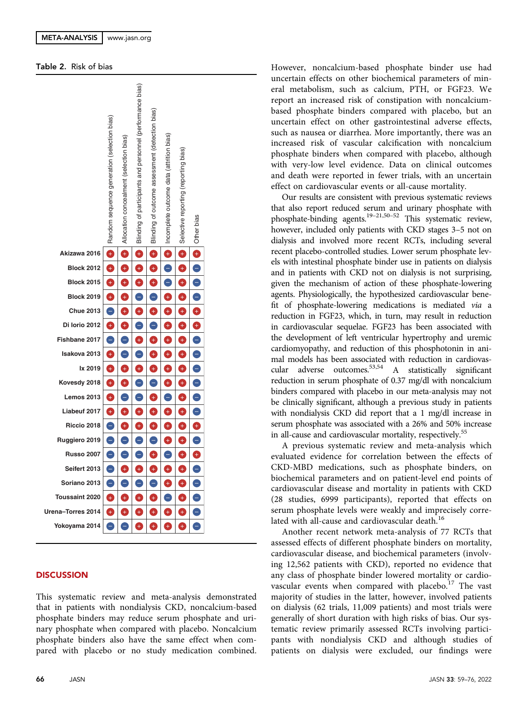## Table 2. Risk of bias



# **DISCUSSION**

This systematic review and meta-analysis demonstrated that in patients with nondialysis CKD, noncalcium-based phosphate binders may reduce serum phosphate and urinary phosphate when compared with placebo. Noncalcium phosphate binders also have the same effect when compared with placebo or no study medication combined. However, noncalcium-based phosphate binder use had uncertain effects on other biochemical parameters of mineral metabolism, such as calcium, PTH, or FGF23. We report an increased risk of constipation with noncalciumbased phosphate binders compared with placebo, but an uncertain effect on other gastrointestinal adverse effects, such as nausea or diarrhea. More importantly, there was an increased risk of vascular calcification with noncalcium phosphate binders when compared with placebo, although with very-low level evidence. Data on clinical outcomes and death were reported in fewer trials, with an uncertain effect on cardiovascular events or all-cause mortality.

Our results are consistent with previous systematic reviews that also report reduced serum and urinary phosphate with phosphate-binding agents.19–21,50–<sup>52</sup> This systematic review, however, included only patients with CKD stages 3–5 not on dialysis and involved more recent RCTs, including several recent placebo-controlled studies. Lower serum phosphate levels with intestinal phosphate binder use in patients on dialysis and in patients with CKD not on dialysis is not surprising, given the mechanism of action of these phosphate-lowering agents. Physiologically, the hypothesized cardiovascular benefit of phosphate-lowering medications is mediated via a reduction in FGF23, which, in turn, may result in reduction in cardiovascular sequelae. FGF23 has been associated with the development of left ventricular hypertrophy and uremic cardiomyopathy, and reduction of this phosphotonin in animal models has been associated with reduction in cardiovascular adverse outcomes.53,54 A statistically significant reduction in serum phosphate of 0.37 mg/dl with noncalcium binders compared with placebo in our meta-analysis may not be clinically significant, although a previous study in patients with nondialysis CKD did report that a 1 mg/dl increase in serum phosphate was associated with a 26% and 50% increase in all-cause and cardiovascular mortality, respectively.<sup>55</sup>

A previous systematic review and meta-analysis which evaluated evidence for correlation between the effects of CKD-MBD medications, such as phosphate binders, on biochemical parameters and on patient-level end points of cardiovascular disease and mortality in patients with CKD (28 studies, 6999 participants), reported that effects on serum phosphate levels were weakly and imprecisely correlated with all-cause and cardiovascular death.<sup>16</sup>

Another recent network meta-analysis of 77 RCTs that assessed effects of different phosphate binders on mortality, cardiovascular disease, and biochemical parameters (involving 12,562 patients with CKD), reported no evidence that any class of phosphate binder lowered mortality or cardiovascular events when compared with placebo.<sup>17</sup> The vast majority of studies in the latter, however, involved patients on dialysis (62 trials, 11,009 patients) and most trials were generally of short duration with high risks of bias. Our systematic review primarily assessed RCTs involving participants with nondialysis CKD and although studies of patients on dialysis were excluded, our findings were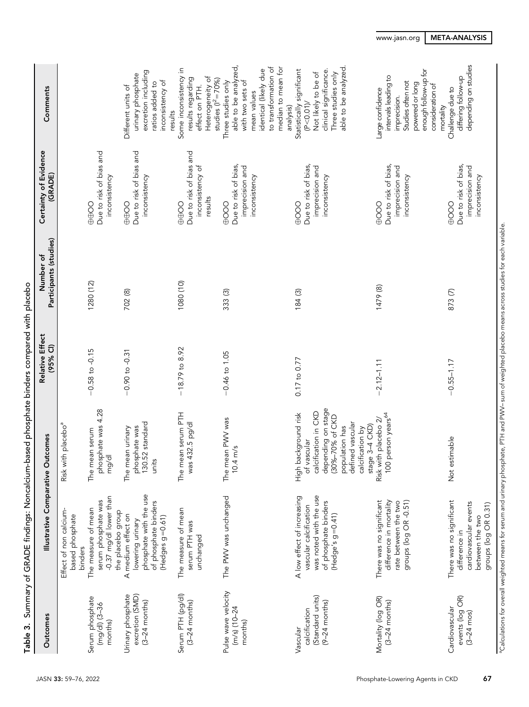| Outcomes                                                         | Illustrative Comparative Outcomes                                                                                                                      |                                                                                                                                                                                       | Relative Effect<br>(95% Cl) | Participants (studies)<br>Number of | Certainty of Evidence<br>(GRADE)                                 | Comments                                                                                                                                                          |
|------------------------------------------------------------------|--------------------------------------------------------------------------------------------------------------------------------------------------------|---------------------------------------------------------------------------------------------------------------------------------------------------------------------------------------|-----------------------------|-------------------------------------|------------------------------------------------------------------|-------------------------------------------------------------------------------------------------------------------------------------------------------------------|
|                                                                  | Effect of non calcium<br>based phosphate<br>binders                                                                                                    | Risk with placebo <sup>a</sup>                                                                                                                                                        |                             |                                     |                                                                  |                                                                                                                                                                   |
| Serum phosphate<br>$(mg/d)$ $(3-36$<br>months)                   | -0.37 mg/dl lower than<br>serum phosphate was<br>The measure of mean<br>the placebo group                                                              | phosphate was 4.28<br>The mean serum<br>mg/dl                                                                                                                                         | $-0.58$ to $-0.15$          | 1280 (12)                           | Due to risk of bias and<br>inconsistency<br>⊕⊕O                  |                                                                                                                                                                   |
| excretion (SMD)<br>Urinary phosphate<br>$(3-24$ months)          | phosphate with the use<br>of phosphate binders<br>A medium effect on<br>$(Hedges g = 0.61)$<br>lowering urinary                                        | 130.52 standard<br>phosphate was<br>The mean urinary<br>units                                                                                                                         | $-0.90$ to $-0.31$          | 702 (8)                             | Due to risk of bias and<br>inconsistency<br>OO⊕⊕                 | excretion including<br>urinary phosphate<br>inconsistency of<br>ratios added to<br>Different units of<br>results                                                  |
| Serum PTH (pg/dl)<br>$(3-24$ months)                             | The measure of mean<br>serum PTH was<br>unchanged                                                                                                      | The mean serum PTH<br>was 432.5 pg/dl                                                                                                                                                 | $-18.79$ to 8.92            | 1080 (10)                           | Due to risk of bias and<br>inconsistency of<br>results<br>OO⊕⊕   | Some inconsistency in<br>Heterogeneity of<br>results regarding<br>studies $(I^2 = 70\%)$<br>effect on PTH.                                                        |
| Pulse wave velocity<br>$(m/s)$ (10-24<br>months)                 | The PWV was unchanged                                                                                                                                  | The mean PWV was<br>$10.4 \text{ m/s}$                                                                                                                                                | $-0.46$ to 1.05             | 333 (3)                             | Due to risk of bias,<br>imprecision and<br>inconsistency<br>0000 | able to be analyzed,<br>to transformation of<br>median to mean for<br>identical (likely due<br>with two sets of<br>Three studies only<br>mean values<br>analysis) |
| (Standard units)<br>$(9-24$ months)<br>calcification<br>Vascular | was noted with the use<br>A low effect of increasing<br>of phosphate binders<br>vascular calcification<br>(Hedge's g=0.41)                             | depending on stage<br>calcification in CKD<br>background risk<br>(30%-70% of CKD<br>defined vascular<br>stage 3-4 CKD)<br>population has<br>calcification by<br>of vascular<br>High I | $0.17$ to $0.77$            | 184 (3)                             | Due to risk of bias,<br>imprecision and<br>inconsistency<br>900⊕ | able to be analyzed<br>clinical significance.<br>Statistically significant<br>Not likely to be of<br>Three studies only<br>(P < 0.01)                             |
| Mortality (log OR)<br>$(3-24$ months)                            | difference in mortality<br>groups (log OR -0.51)<br>There was no significant<br>rate between the two                                                   | 100 person years <sup>64</sup><br>Risk with placebo 2/                                                                                                                                | $-2.12 - 1.11$              | 1479 (8)                            | Due to risk of bias,<br>imprecision and<br>inconsistency<br>0000 | enough follow-up for<br>intervals leading to<br>Studies often not<br>powered or long<br>consideration of<br>Large confidence<br>imprecision.<br>mortality         |
| events (log OR)<br>Cardiovascular<br>$(3 - 24 \text{ mos})$      | There was no significant<br>cardiovascular events<br>groups (log OR 0.31)<br>between the two<br>difference in                                          | Not estimable                                                                                                                                                                         | $-0.55 - 1.17$              | 873 (7)                             | Due to risk of bias,<br>imprecision and<br>inconsistency<br>0000 | depending on studies<br>differing follow-up<br>Challenge due to                                                                                                   |
|                                                                  | °Calculations for overall weighted means for serum and urinary phosphate. PTH and PWV– sum of weighted placebo means across studies for each variable. |                                                                                                                                                                                       |                             |                                     |                                                                  |                                                                                                                                                                   |

# [www.jasn.org](https://www.jasn.org) | META-ANALYSIS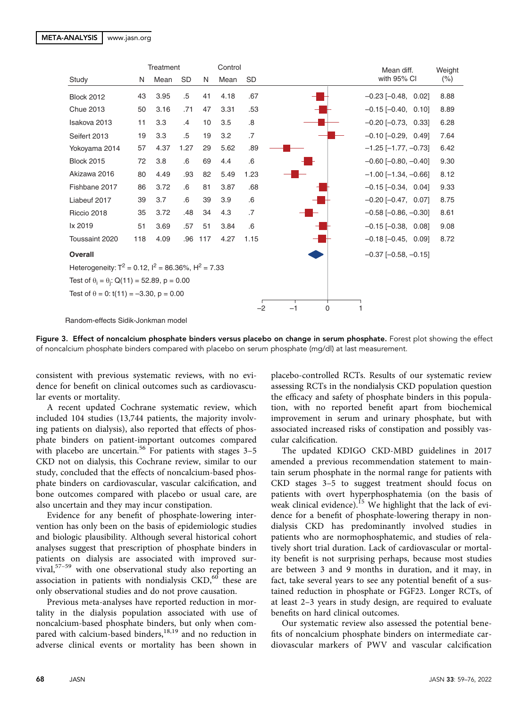|                                                              |     | <b>Treatment</b> |           |     | Control |           |           | Mean diff.                    | Weight  |
|--------------------------------------------------------------|-----|------------------|-----------|-----|---------|-----------|-----------|-------------------------------|---------|
| Study                                                        | N   | Mean             | <b>SD</b> | N   | Mean    | <b>SD</b> |           | with 95% CI                   | $(\% )$ |
| <b>Block 2012</b>                                            | 43  | 3.95             | .5        | 41  | 4.18    | .67       |           | $-0.23$ $[-0.48, 0.02]$       | 8.88    |
| <b>Chue 2013</b>                                             | 50  | 3.16             | .71       | 47  | 3.31    | .53       |           | $-0.15$ $[-0.40, 0.10]$       | 8.89    |
| Isakova 2013                                                 | 11  | 3.3              | .4        | 10  | 3.5     | .8        |           | $-0.20$ $[-0.73, 0.33]$       | 6.28    |
| Seifert 2013                                                 | 19  | 3.3              | .5        | 19  | 3.2     | .7        |           | $-0.10$ $[-0.29, 0.49]$       | 7.64    |
| Yokoyama 2014                                                | 57  | 4.37             | 1.27      | 29  | 5.62    | .89       |           | $-1.25$ [ $-1.77, -0.73$ ]    | 6.42    |
| <b>Block 2015</b>                                            | 72  | 3.8              | .6        | 69  | 4.4     | .6        |           | $-0.60$ [ $-0.80$ , $-0.40$ ] | 9.30    |
| Akizawa 2016                                                 | 80  | 4.49             | .93       | 82  | 5.49    | 1.23      |           | $-1.00$ [ $-1.34$ , $-0.66$ ] | 8.12    |
| Fishbane 2017                                                | 86  | 3.72             | .6        | 81  | 3.87    | .68       |           | $-0.15[-0.34, 0.04]$          | 9.33    |
| Liabeuf 2017                                                 | 39  | 3.7              | .6        | 39  | 3.9     | .6        |           | $-0.20$ $[-0.47, 0.07]$       | 8.75    |
| Riccio 2018                                                  | 35  | 3.72             | .48       | 34  | 4.3     | .7        |           | $-0.58$ [ $-0.86$ , $-0.30$ ] | 8.61    |
| lx 2019                                                      | 51  | 3.69             | .57       | 51  | 3.84    | .6        |           | $-0.15$ $[-0.38, 0.08]$       | 9.08    |
| Toussaint 2020                                               | 118 | 4.09             | .96       | 117 | 4.27    | 1.15      |           | $-0.18$ $[-0.45, 0.09]$       | 8.72    |
| <b>Overall</b>                                               |     |                  |           |     |         |           |           | $-0.37$ [ $-0.58$ , $-0.15$ ] |         |
| Heterogeneity: $T^2 = 0.12$ , $I^2 = 86.36\%$ , $H^2 = 7.33$ |     |                  |           |     |         |           |           |                               |         |
| Test of $\theta_i = \theta_i$ : Q(11) = 52.89, p = 0.00      |     |                  |           |     |         |           |           |                               |         |
| Test of $\theta = 0$ : t(11) = -3.30, p = 0.00               |     |                  |           |     |         |           |           |                               |         |
|                                                              |     |                  |           |     |         | $-2$      | 0<br>$-1$ | 1                             |         |
| Bandom-effects Sidik-Jonkman model                           |     |                  |           |     |         |           |           |                               |         |

Figure 3. Effect of noncalcium phosphate binders versus placebo on change in serum phosphate. Forest plot showing the effect of noncalcium phosphate binders compared with placebo on serum phosphate (mg/dl) at last measurement.

consistent with previous systematic reviews, with no evidence for benefit on clinical outcomes such as cardiovascular events or mortality.

A recent updated Cochrane systematic review, which included 104 studies (13,744 patients, the majority involving patients on dialysis), also reported that effects of phosphate binders on patient-important outcomes compared with placebo are uncertain.<sup>56</sup> For patients with stages  $3-5$ CKD not on dialysis, this Cochrane review, similar to our study, concluded that the effects of noncalcium-based phosphate binders on cardiovascular, vascular calcification, and bone outcomes compared with placebo or usual care, are also uncertain and they may incur constipation.

Evidence for any benefit of phosphate-lowering intervention has only been on the basis of epidemiologic studies and biologic plausibility. Although several historical cohort analyses suggest that prescription of phosphate binders in patients on dialysis are associated with improved survival,57–<sup>59</sup> with one observational study also reporting an association in patients with nondialysis  $\text{CKD}$ ,<sup>60</sup> these are only observational studies and do not prove causation.

Previous meta-analyses have reported reduction in mortality in the dialysis population associated with use of noncalcium-based phosphate binders, but only when compared with calcium-based binders,<sup>18,19</sup> and no reduction in adverse clinical events or mortality has been shown in

placebo-controlled RCTs. Results of our systematic review assessing RCTs in the nondialysis CKD population question the efficacy and safety of phosphate binders in this population, with no reported benefit apart from biochemical improvement in serum and urinary phosphate, but with associated increased risks of constipation and possibly vascular calcification.

The updated KDIGO CKD-MBD guidelines in 2017 amended a previous recommendation statement to maintain serum phosphate in the normal range for patients with CKD stages 3–5 to suggest treatment should focus on patients with overt hyperphosphatemia (on the basis of weak clinical evidence).<sup>15</sup> We highlight that the lack of evidence for a benefit of phosphate-lowering therapy in nondialysis CKD has predominantly involved studies in patients who are normophosphatemic, and studies of relatively short trial duration. Lack of cardiovascular or mortality benefit is not surprising perhaps, because most studies are between 3 and 9 months in duration, and it may, in fact, take several years to see any potential benefit of a sustained reduction in phosphate or FGF23. Longer RCTs, of at least 2–3 years in study design, are required to evaluate benefits on hard clinical outcomes.

Our systematic review also assessed the potential benefits of noncalcium phosphate binders on intermediate cardiovascular markers of PWV and vascular calcification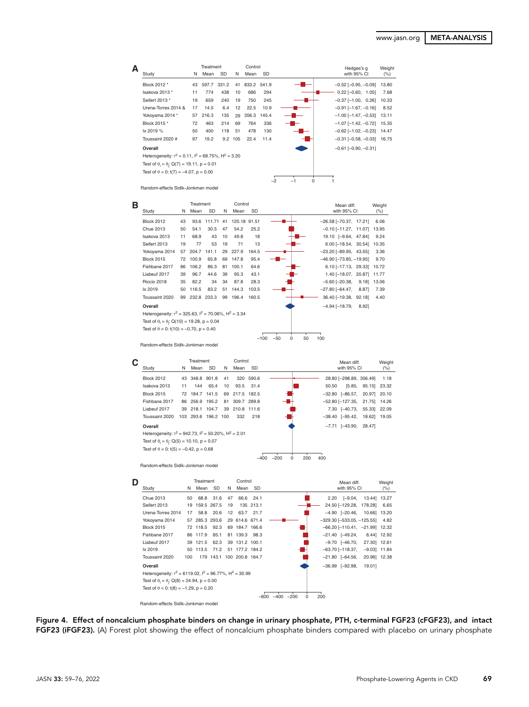| А |                                                                 |    | Treatment |             |     | Control     |           |              |   | Hedges's g                    | Weight |
|---|-----------------------------------------------------------------|----|-----------|-------------|-----|-------------|-----------|--------------|---|-------------------------------|--------|
|   | Study                                                           | N  | Mean      | <b>SD</b>   | N   | Mean        | <b>SD</b> |              |   | with 95% CI                   | (% )   |
|   | Block 2012 *                                                    | 43 |           | 597.7 331.2 | 41  | 833.2 541.9 |           |              |   | $-0.52$ [ $-0.95, -0.09$ ]    | 13.80  |
|   | Isakova 2013 *                                                  | 11 | 774       | 438         | 10  | 686         | 294       |              |   | $0.22$ [-0.60, 1.05]          | 7.68   |
|   | Seifert 2013 *                                                  | 19 | 659       | 240         | 19  | 750         | 245       |              |   | $-0.37$ $[-1.00, 0.26]$       | 10.33  |
|   | Urena-Torres 2014 &                                             | 17 | 14.5      | 6.4         | 12  | 22.5        | 10.9      |              |   | $-0.91$ [-1.67, -0.16]        | 8.52   |
|   | Yokoyama 2014 *                                                 | 57 | 216.3     | 135         | 29  | 356.3       | 145.4     |              |   | $-1.00$ [ $-1.47, -0.53$ ]    | 13.11  |
|   | Block 2015 *                                                    | 72 | 463       | 214         | 69  | 764         | 336       |              |   | $-1.07$ [ $-1.42$ , $-0.72$ ] | 15.35  |
|   | lx 2019 %                                                       | 50 | 400       | 118         | 51  | 478         | 130       |              |   | $-0.62$ [ $-1.02$ , $-0.23$ ] | 14.47  |
|   | Toussaint 2020 #                                                | 97 | 19.2      | 9.2         | 105 | 22.4        | 11.4      |              |   | $-0.31$ [ $-0.58$ , $-0.03$ ] | 16.75  |
|   | Overall                                                         |    |           |             |     |             |           |              |   | $-0.61$ [ $-0.90, -0.31$ ]    |        |
|   | Heterogeneity: $\tau^2 = 0.11$ , $I^2 = 68.75\%$ , $H^2 = 3.20$ |    |           |             |     |             |           |              |   |                               |        |
|   | Test of $\theta_i = \theta_i$ : Q(7) = 19.11, p = 0.01          |    |           |             |     |             |           |              |   |                               |        |
|   | Test of $\theta = 0$ : t(7) = -4.07, p = 0.00                   |    |           |             |     |             |           |              |   |                               |        |
|   |                                                                 |    |           |             |     |             |           | $-2$<br>$-1$ | 0 |                               |        |
|   | Random-effects Sidik-Jonkman model                              |    |           |             |     |             |           |              |   |                               |        |

| в |                                                                   |    |       | Treatment   |    | Control      |        |                         | Mean diff.                       | Weight |
|---|-------------------------------------------------------------------|----|-------|-------------|----|--------------|--------|-------------------------|----------------------------------|--------|
|   | Study                                                             | N  | Mean  | SD          | N  | Mean         | SD     |                         | with 95% CI                      | (% )   |
|   | <b>Block 2012</b>                                                 | 43 | 93.6  | 111.71 41   |    | 120.18 91.51 |        |                         | $-26.58$ $[-70.37, 17.21]$       | 6.06   |
|   | Chue 2013                                                         | 50 | 54.1  | 30.5        | 47 | 54.2         | 25.2   |                         | $-0.10$ $[-11.27, 11.07]$        | 13.95  |
|   | Isakova 2013                                                      | 11 | 68.9  | 43          | 10 | 49.8         | 18     |                         | 19.10 [-9.64, 47.84]             | 9.24   |
|   | Seifert 2013                                                      | 19 | 77    | 53          | 19 | 71           | 13     |                         | $6.00$ [-18.54, 30.54]           | 10.35  |
|   | Yokoyama 2014                                                     | 57 | 204.7 | 141.1       | 29 | 227.9        | 164.5  |                         | $-23.20$ [ $-89.95$ , 43.55]     | 3.36   |
|   | <b>Block 2015</b>                                                 | 72 | 100.9 | 65.8        | 69 | 147.8        | 95.4   |                         | $-46.90$ [ $-73.85$ , $-19.95$ ] | 9.70   |
|   | Fishbane 2017                                                     | 86 | 106.2 | 86.3        | 81 | 100.1        | 64.6   |                         | $6.10$ $[-17.13, 29.33]$         | 10.72  |
|   | Liabeuf 2017                                                      | 39 | 96.7  | 44.6        | 39 | 95.3         | 43.1   |                         | 1.40 [-18.07, 20.87]             | 11.77  |
|   | Riccio 2018                                                       | 35 | 82.2  | 34          | 34 | 87.8         | 28.3   |                         | $-5.60$ $[-20.38,$<br>9.18       | 13.06  |
|   | lx 2019                                                           | 50 | 116.5 | 83.2        | 51 | 144.3        | 103.5  |                         | $-27.80$ [ $-64.47$ ,<br>8.87    | 7.39   |
|   | Toussaint 2020                                                    | 99 |       | 232.8 233.3 | 99 | 196.4        | 160.5  |                         | 36.40 [-19.38, 92.18]            | 4.40   |
|   | Overall                                                           |    |       |             |    |              |        |                         | $-4.94$ [ $-18.79$ ,<br>8.92]    |        |
|   | Heterogeneity: $\tau^2 = 325.63$ , $I^2 = 70.06\%$ , $H^2 = 3.34$ |    |       |             |    |              |        |                         |                                  |        |
|   | Test of $\theta_i = \theta_i$ : Q(10) = 19.28, p = 0.04           |    |       |             |    |              |        |                         |                                  |        |
|   | Test of $\theta = 0$ : t(10) = -0.70, p = 0.40                    |    |       |             |    |              |        |                         |                                  |        |
|   |                                                                   |    |       |             |    |              | $-100$ | $-50$<br>50<br>$\Omega$ | 100                              |        |

Random-effects Sidik-Jonkman model

|                                                                |     | Treatment      |                 |    | Control        |       |        |     |       | Mean diff.                          |                       | Weight  |
|----------------------------------------------------------------|-----|----------------|-----------------|----|----------------|-------|--------|-----|-------|-------------------------------------|-----------------------|---------|
| Study                                                          | N   | Mean           | <b>SD</b>       | N  | Mean           | -SD   |        |     |       | with 95% CI                         |                       | $(\% )$ |
| <b>Block 2012</b>                                              |     | 43 348.8 901.8 |                 | 41 | 320            | 590.6 |        |     |       | 28.80 [-298.89, 356.49]             |                       | 1.18    |
| Isakova 2013                                                   | 11  | 144            | 65.4            | 10 | 93.5           | 31.4  |        |     | 50.50 |                                     | $[5.85, 95.15]$ 23.32 |         |
| <b>Block 2015</b>                                              |     | 72 184.7 141.5 |                 |    | 69 217.5 182.5 |       |        |     |       | $-32.80$ $[-86.57,$                 | 20.97 20.10           |         |
| Fishbane 2017                                                  | 86  | 256.9 195.2    |                 |    | 81 309.7 289.8 |       |        |     |       | $-52.80$ [ $-127.35$ , 21.75] 14.26 |                       |         |
| Liabeuf 2017                                                   | 39  | 218.1 104.7    |                 |    | 39 210.8 111.6 |       |        |     |       | 7.30 [-40.73,                       | 55.33 22.09           |         |
| Toussaint 2020                                                 | 103 |                | 293.6 196.2 100 |    | 332            | 218   |        |     |       | $-38.40$ $[-95.42,$                 | 18.62]                | 19.05   |
| Overall                                                        |     |                |                 |    |                |       |        |     |       | $-7.71$ $[-43.90,$                  | 28.471                |         |
| Heterogeneity: $T^2 = 942.73$ , $I^2 = 50.20\%$ , $H^2 = 2.01$ |     |                |                 |    |                |       |        |     |       |                                     |                       |         |
| Test of $\theta_i = \theta_i$ : Q(5) = 10.10, p = 0.07         |     |                |                 |    |                |       |        |     |       |                                     |                       |         |
| Test of $\theta = 0$ : t(5) = -0.42, p = 0.68                  |     |                |                 |    |                |       |        |     |       |                                     |                       |         |
|                                                                |     |                |                 |    |                |       | $-200$ | 200 | 400   |                                     |                       |         |

Random-effects Sidik-Jonkman model

|                                                                     |     | Treatment      |             |    | Control         |           | Mean diff.                              | Weight |
|---------------------------------------------------------------------|-----|----------------|-------------|----|-----------------|-----------|-----------------------------------------|--------|
| Study                                                               | N   | Mean           | <b>SD</b>   | N  | Mean            | SD        | with 95% CI                             | (% )   |
| Chue 2013                                                           | 50  | 68.8           | 31.6        | 47 |                 | 66.6 24.1 | 2.20 [-9.04, 13.44] 13.27               |        |
| Seifert 2013                                                        | 19  |                | 159.5 267.5 | 19 |                 | 135 213.1 | 24.50 [-129.28, 178.28]                 | 6.65   |
| Urena-Torres 2014                                                   | 17  | 58.8           | 20.6        | 12 |                 | 63.7 21.7 | $-4.90$ $[-20.46, 10.66]$ 13.20         |        |
| Yokoyama 2014                                                       |     | 57 285.3 293.6 |             |    | 29 614.6 671.4  |           | $-329.30$ [ $-533.05$ , $-125.55$ ]     | 4.82   |
| <b>Block 2015</b>                                                   |     | 72 118.5       | 92.3        |    | 69 184.7 166.6  |           | $-66.20$ [ $-110.41$ , $-21.99$ ] 12.32 |        |
| Fishbane 2017                                                       |     | 86 117.9       | 85.1        |    | 81 139.3 98.3   |           | $-21.40$ $[-49.24,$<br>6.44] 12.92      |        |
| Liabeuf 2017                                                        |     | 39 121.5       | 62.3        |    | 39 131.2 100.1  |           | $-9.70$ [ $-46.70$<br>27.30 12.61       |        |
| lx 2019                                                             |     | 50 113.5       | 71.2        |    | 51 177.2 184.2  |           | –63.70 [–118.37,<br>$-9.03$ ] 11.84     |        |
| Toussaint 2020                                                      | 100 |                | 179 143.1   |    | 100 200.8 164.7 |           | $-21.80$ $[-64.56,$<br>20.96] 12.38     |        |
| Overall                                                             |     |                |             |    |                 |           | $-36.99$ $[-92.98,$<br>19.011           |        |
| Heterogeneity: $\tau^2 = 6119.02$ , $I^2 = 96.77\%$ , $H^2 = 30.99$ |     |                |             |    |                 |           |                                         |        |
| Test of $\theta_i = \theta_i$ : Q(8) = 24.94, p = 0.00              |     |                |             |    |                 |           |                                         |        |
| Test of $\theta = 0$ : t(8) = -1.29, p = 0.20                       |     |                |             |    |                 |           |                                         |        |
|                                                                     |     |                |             |    |                 |           | $-200$<br>200<br>$-400$<br>$-600$       |        |
| Random-effects Sidik-Jonkman model                                  |     |                |             |    |                 |           |                                         |        |

Figure 4. Effect of noncalcium phosphate binders on change in urinary phosphate, PTH, c-terminal FGF23 (cFGF23), and intact FGF23 (iFGF23). (A) Forest plot showing the effect of noncalcium phosphate binders compared with placebo on urinary phosphate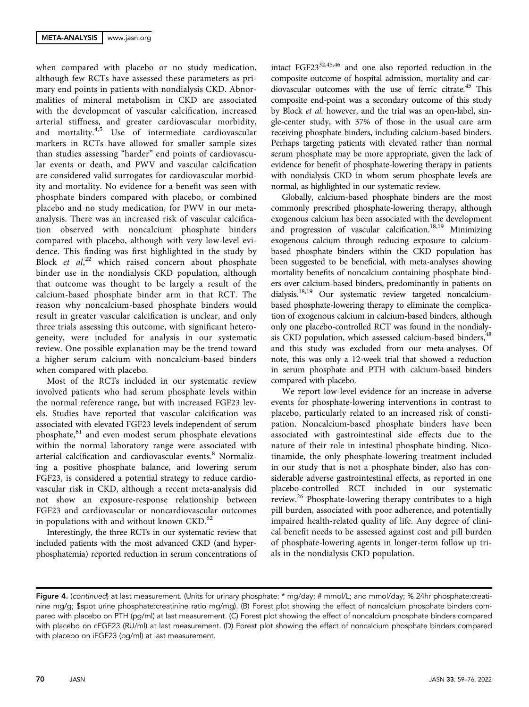when compared with placebo or no study medication, although few RCTs have assessed these parameters as primary end points in patients with nondialysis CKD. Abnormalities of mineral metabolism in CKD are associated with the development of vascular calcification, increased arterial stiffness, and greater cardiovascular morbidity, and mortality.<sup>4,5</sup> Use of intermediate cardiovascular markers in RCTs have allowed for smaller sample sizes than studies assessing "harder" end points of cardiovascular events or death, and PWV and vascular calcification are considered valid surrogates for cardiovascular morbidity and mortality. No evidence for a benefit was seen with phosphate binders compared with placebo, or combined placebo and no study medication, for PWV in our metaanalysis. There was an increased risk of vascular calcification observed with noncalcium phosphate binders compared with placebo, although with very low-level evidence. This finding was first highlighted in the study by Block et al,<sup>22</sup> which raised concern about phosphate binder use in the nondialysis CKD population, although that outcome was thought to be largely a result of the calcium-based phosphate binder arm in that RCT. The reason why noncalcium-based phosphate binders would result in greater vascular calcification is unclear, and only three trials assessing this outcome, with significant heterogeneity, were included for analysis in our systematic review. One possible explanation may be the trend toward a higher serum calcium with noncalcium-based binders when compared with placebo.

Most of the RCTs included in our systematic review involved patients who had serum phosphate levels within the normal reference range, but with increased FGF23 levels. Studies have reported that vascular calcification was associated with elevated FGF23 levels independent of serum phosphate,<sup>61</sup> and even modest serum phosphate elevations within the normal laboratory range were associated with arterial calcification and cardiovascular events.<sup>8</sup> Normalizing a positive phosphate balance, and lowering serum FGF23, is considered a potential strategy to reduce cardiovascular risk in CKD, although a recent meta-analysis did not show an exposure-response relationship between FGF23 and cardiovascular or noncardiovascular outcomes in populations with and without known CKD.<sup>62</sup>

Interestingly, the three RCTs in our systematic review that included patients with the most advanced CKD (and hyperphosphatemia) reported reduction in serum concentrations of intact FGF2332,45,46 and one also reported reduction in the composite outcome of hospital admission, mortality and cardiovascular outcomes with the use of ferric citrate.<sup>45</sup> This composite end-point was a secondary outcome of this study by Block et al. however, and the trial was an open-label, single-center study, with 37% of those in the usual care arm receiving phosphate binders, including calcium-based binders. Perhaps targeting patients with elevated rather than normal serum phosphate may be more appropriate, given the lack of evidence for benefit of phosphate-lowering therapy in patients with nondialysis CKD in whom serum phosphate levels are normal, as highlighted in our systematic review.

Globally, calcium-based phosphate binders are the most commonly prescribed phosphate-lowering therapy, although exogenous calcium has been associated with the development and progression of vascular calcification.<sup>18,19</sup> Minimizing exogenous calcium through reducing exposure to calciumbased phosphate binders within the CKD population has been suggested to be beneficial, with meta-analyses showing mortality benefits of noncalcium containing phosphate binders over calcium-based binders, predominantly in patients on dialysis.<sup>18,19</sup> Our systematic review targeted noncalciumbased phosphate-lowering therapy to eliminate the complication of exogenous calcium in calcium-based binders, although only one placebo-controlled RCT was found in the nondialysis CKD population, which assessed calcium-based binders, <sup>48</sup> and this study was excluded from our meta-analyses. Of note, this was only a 12-week trial that showed a reduction in serum phosphate and PTH with calcium-based binders compared with placebo.

We report low-level evidence for an increase in adverse events for phosphate-lowering interventions in contrast to placebo, particularly related to an increased risk of constipation. Noncalcium-based phosphate binders have been associated with gastrointestinal side effects due to the nature of their role in intestinal phosphate binding. Nicotinamide, the only phosphate-lowering treatment included in our study that is not a phosphate binder, also has considerable adverse gastrointestinal effects, as reported in one placebo-controlled RCT included in our systematic review.<sup>26</sup> Phosphate-lowering therapy contributes to a high pill burden, associated with poor adherence, and potentially impaired health-related quality of life. Any degree of clinical benefit needs to be assessed against cost and pill burden of phosphate-lowering agents in longer-term follow up trials in the nondialysis CKD population.

Figure 4. (continued) at last measurement. (Units for urinary phosphate: \* mq/day; # mmol/L; and mmol/day; % 24hr phosphate:creatinine mg/g; \$spot urine phosphate:creatinine ratio mg/mg). (B) Forest plot showing the effect of noncalcium phosphate binders compared with placebo on PTH (pg/ml) at last measurement. (C) Forest plot showing the effect of noncalcium phosphate binders compared with placebo on cFGF23 (RU/ml) at last measurement. (D) Forest plot showing the effect of noncalcium phosphate binders compared with placebo on iFGF23 (pg/ml) at last measurement.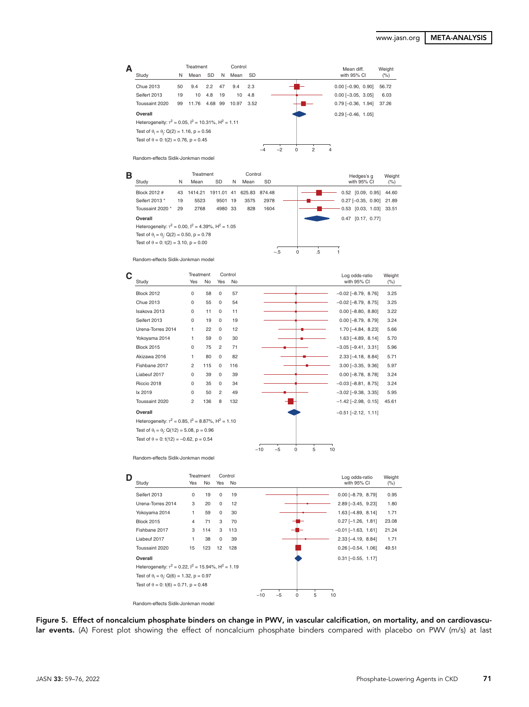

Random-effects Sidik-Jonkman model

| в |                                                                |    | Treatment |           |    | Control       |           |                | Hedges's g                 | Weight |
|---|----------------------------------------------------------------|----|-----------|-----------|----|---------------|-----------|----------------|----------------------------|--------|
|   | Study                                                          | N  | Mean      | <b>SD</b> | N  | Mean          | <b>SD</b> |                | with 95% CI                | (%)    |
|   | Block 2012 #                                                   | 43 | 1414.21   | 1911.01   | 41 | 625.83 874.48 |           |                | $0.52$ [0.09, 0.95]        | 44.60  |
|   | Seifert 2013 *                                                 | 19 | 5523      | 9501      | 19 | 3575          | 2978      |                | $0.27$ [-0.35, 0.90] 21.89 |        |
|   | Toussaint 2020 *                                               | 29 | 2768      | 4980 33   |    | 828           | 1604      |                | 0.53 [0.03, 1.03] 33.51    |        |
|   | Overall                                                        |    |           |           |    |               |           |                | 0.47<br>[0.17, 0.77]       |        |
|   | Heterogeneity: $\tau^2 = 0.00$ , $I^2 = 4.39\%$ , $H^2 = 1.05$ |    |           |           |    |               |           |                |                            |        |
|   | Test of $\theta_i = \theta_i$ : Q(2) = 0.50, p = 0.78          |    |           |           |    |               |           |                |                            |        |
|   | Test of $\theta = 0$ : t(2) = 3.10, p = 0.00                   |    |           |           |    |               |           |                |                            |        |
|   |                                                                |    |           |           |    |               | $-.5$     | .5<br>$\Omega$ |                            |        |

Random-effects Sidik-Jonkman model



Random-effects Sidik-Jonkman model

| D | Study                                                           | Yes      | Treatment<br><b>No</b> | Yes         | Control<br>No |                         | Log odds-ratio<br>with 95% CI | Weight<br>$(\% )$ |
|---|-----------------------------------------------------------------|----------|------------------------|-------------|---------------|-------------------------|-------------------------------|-------------------|
|   | Seifert 2013                                                    | $\Omega$ | 19                     | $\Omega$    | 19            |                         | $0.00$ [-8.79, 8.79]          | 0.95              |
|   | Urena-Torres 2014                                               | 3        | 20                     | $\Omega$    | 12            |                         | $2.89$ [-3.45, 9.23]          | 1.80              |
|   | Yokoyama 2014                                                   | 1        | 59                     | $\mathbf 0$ | 30            |                         | $1.63$ [-4.89, 8.14]          | 1.71              |
|   | <b>Block 2015</b>                                               | 4        | 71                     | 3           | 70            |                         | $0.27$ [-1.26, 1.81]          | 23.08             |
|   | Fishbane 2017                                                   | 3        | 114                    | 3           | 113           |                         | $-0.01$ [ $-1.63$ , 1.61]     | 21.24             |
|   | Liabeuf 2017                                                    | 1        | 38                     | $\Omega$    | 39            |                         | $2.33$ [-4.19, 8.84]          | 1.71              |
|   | Toussaint 2020                                                  | 15       | 123                    | 12          | 128           |                         | $0.26$ [-0.54, 1.06]          | 49.51             |
|   | Overall                                                         |          |                        |             |               |                         | $0.31$ $[-0.55, 1.17]$        |                   |
|   | Heterogeneity: $\tau^2 = 0.22$ , $I^2 = 15.94\%$ , $H^2 = 1.19$ |          |                        |             |               |                         |                               |                   |
|   | Test of $\theta_i = \theta_i$ : Q(6) = 1.32, p = 0.97           |          |                        |             |               |                         |                               |                   |
|   | Test of $\theta = 0$ : t(6) = 0.71, p = 0.48                    |          |                        |             |               |                         |                               |                   |
|   |                                                                 |          |                        |             |               | 5<br>$-5$<br>0<br>$-10$ | 10                            |                   |

Random-effects Sidik-Jonkman model

Figure 5. Effect of noncalcium phosphate binders on change in PWV, in vascular calcification, on mortality, and on cardiovascular events. (A) Forest plot showing the effect of noncalcium phosphate binders compared with placebo on PWV (m/s) at last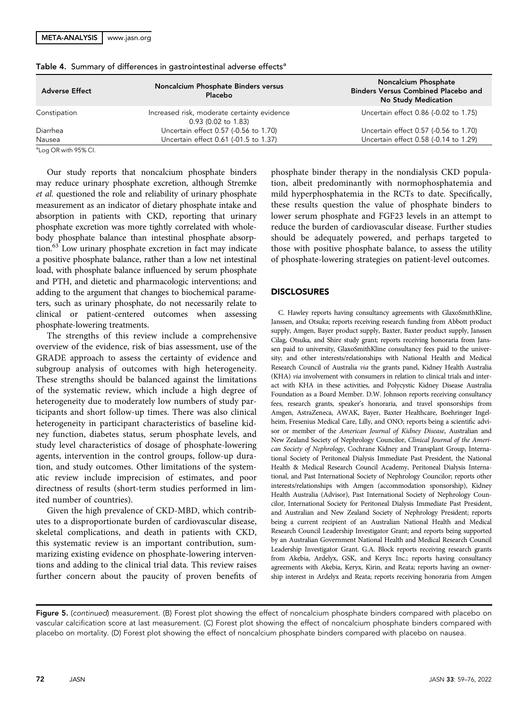| <b>Adverse Effect</b> | Noncalcium Phosphate Binders versus<br>Placebo                       | <b>Noncalcium Phosphate</b><br><b>Binders Versus Combined Placebo and</b><br><b>No Study Medication</b> |
|-----------------------|----------------------------------------------------------------------|---------------------------------------------------------------------------------------------------------|
| Constipation          | Increased risk, moderate certainty evidence<br>$0.93$ (0.02 to 1.83) | Uncertain effect 0.86 (-0.02 to 1.75)                                                                   |
| Diarrhea              | Uncertain effect 0.57 (-0.56 to 1.70)                                | Uncertain effect 0.57 (-0.56 to 1.70)                                                                   |
| Nausea                | Uncertain effect 0.61 (-01.5 to 1.37)                                | Uncertain effect 0.58 (-0.14 to 1.29)                                                                   |

Table 4. Summary of differences in gastrointestinal adverse effects<sup>a</sup>

<sup>a</sup>Log OR with 95% CI.

Our study reports that noncalcium phosphate binders may reduce urinary phosphate excretion, although Stremke et al. questioned the role and reliability of urinary phosphate measurement as an indicator of dietary phosphate intake and absorption in patients with CKD, reporting that urinary phosphate excretion was more tightly correlated with wholebody phosphate balance than intestinal phosphate absorption.63 Low urinary phosphate excretion in fact may indicate a positive phosphate balance, rather than a low net intestinal load, with phosphate balance influenced by serum phosphate and PTH, and dietetic and pharmacologic interventions; and adding to the argument that changes to biochemical parameters, such as urinary phosphate, do not necessarily relate to clinical or patient-centered outcomes when assessing phosphate-lowering treatments.

The strengths of this review include a comprehensive overview of the evidence, risk of bias assessment, use of the GRADE approach to assess the certainty of evidence and subgroup analysis of outcomes with high heterogeneity. These strengths should be balanced against the limitations of the systematic review, which include a high degree of heterogeneity due to moderately low numbers of study participants and short follow-up times. There was also clinical heterogeneity in participant characteristics of baseline kidney function, diabetes status, serum phosphate levels, and study level characteristics of dosage of phosphate-lowering agents, intervention in the control groups, follow-up duration, and study outcomes. Other limitations of the systematic review include imprecision of estimates, and poor directness of results (short-term studies performed in limited number of countries).

Given the high prevalence of CKD-MBD, which contributes to a disproportionate burden of cardiovascular disease, skeletal complications, and death in patients with CKD, this systematic review is an important contribution, summarizing existing evidence on phosphate-lowering interventions and adding to the clinical trial data. This review raises further concern about the paucity of proven benefits of phosphate binder therapy in the nondialysis CKD population, albeit predominantly with normophosphatemia and mild hyperphosphatemia in the RCTs to date. Specifically, these results question the value of phosphate binders to lower serum phosphate and FGF23 levels in an attempt to reduce the burden of cardiovascular disease. Further studies should be adequately powered, and perhaps targeted to those with positive phosphate balance, to assess the utility of phosphate-lowering strategies on patient-level outcomes.

## DISCLOSURES

C. Hawley reports having consultancy agreements with GlaxoSmithKline, Janssen, and Otsuka; reports receiving research funding from Abbott product supply, Amgen, Bayer product supply, Baxter, Baxter product supply, Janssen Cilag, Otsuka, and Shire study grant; reports receiving honoraria from Janssen paid to university, GlaxoSmithKline consultancy fees paid to the university; and other interests/relationships with National Health and Medical Research Council of Australia via the grants panel, Kidney Health Australia (KHA) via involvement with consumers in relation to clinical trials and interact with KHA in these activities, and Polycystic Kidney Disease Australia Foundation as a Board Member. D.W. Johnson reports receiving consultancy fees, research grants, speaker's honoraria, and travel sponsorships from Amgen, AstraZeneca, AWAK, Bayer, Baxter Healthcare, Boehringer Ingelheim, Fresenius Medical Care, Lilly, and ONO; reports being a scientific advisor or member of the American Journal of Kidney Disease, Australian and New Zealand Society of Nephrology Councilor, Clinical Journal of the American Society of Nephrology, Cochrane Kidney and Transplant Group, International Society of Peritoneal Dialysis Immediate Past President, the National Health & Medical Research Council Academy, Peritoneal Dialysis International, and Past International Society of Nephrology Councilor; reports other interests/relationships with Amgen (accommodation sponsorship), Kidney Health Australia (Advisor), Past International Society of Nephrology Councilor, International Society for Peritoneal Dialysis Immediate Past President, and Australian and New Zealand Society of Nephrology President; reports being a current recipient of an Australian National Health and Medical Research Council Leadership Investigator Grant; and reports being supported by an Australian Government National Health and Medical Research Council Leadership Investigator Grant. G.A. Block reports receiving research grants from Akebia, Ardelyx, GSK, and Keryx Inc.; reports having consultancy agreements with Akebia, Keryx, Kirin, and Reata; reports having an ownership interest in Ardelyx and Reata; reports receiving honoraria from Amgen

Figure 5. (continued) measurement. (B) Forest plot showing the effect of noncalcium phosphate binders compared with placebo on vascular calcification score at last measurement. (C) Forest plot showing the effect of noncalcium phosphate binders compared with placebo on mortality. (D) Forest plot showing the effect of noncalcium phosphate binders compared with placebo on nausea.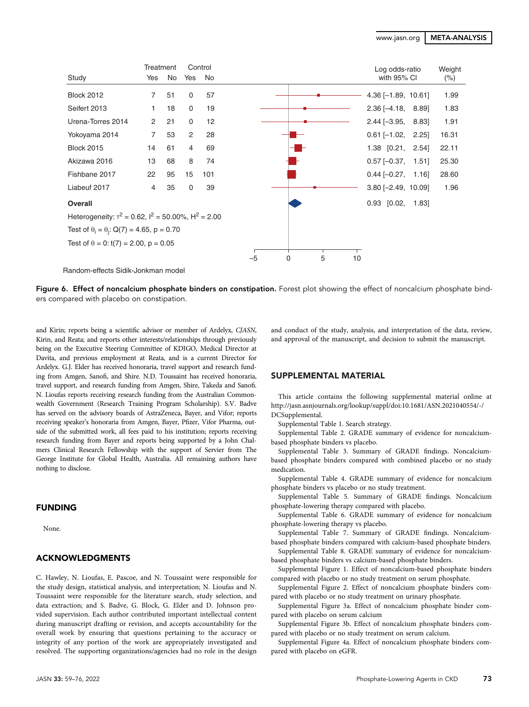|                                                                       | Treatment      |    |                | Control |                                | Log odds-ratio          | Weight |
|-----------------------------------------------------------------------|----------------|----|----------------|---------|--------------------------------|-------------------------|--------|
| Study                                                                 | Yes            | No | Yes            | No      |                                | with 95% CI             | $(\%)$ |
| <b>Block 2012</b>                                                     | $\overline{7}$ | 51 | 0              | 57      |                                | $4.36$ [-1.89, 10.61]   | 1.99   |
| Seifert 2013                                                          | 1              | 18 | 0              | 19      |                                | $2.36$ [-4.18, 8.89]    | 1.83   |
| Urena-Torres 2014                                                     | 2              | 21 | 0              | 12      |                                | $2.44$ [-3.95, 8.83]    | 1.91   |
| Yokoyama 2014                                                         | $\overline{7}$ | 53 | 2              | 28      |                                | $0.61$ [-1.02, 2.25]    | 16.31  |
| <b>Block 2015</b>                                                     | 14             | 61 | $\overline{4}$ | 69      |                                | $1.38$ [0.21, 2.54]     | 22.11  |
| Akizawa 2016                                                          | 13             | 68 | 8              | 74      |                                | $0.57$ [-0.37,<br>1.51  | 25.30  |
| Fishbane 2017                                                         | 22             | 95 | 15             | 101     |                                | $0.44$ [-0.27, 1.16]    | 28.60  |
| Liabeuf 2017                                                          | 4              | 35 | 0              | 39      |                                | $3.80$ [-2.49, 10.09]   | 1.96   |
| Overall                                                               |                |    |                |         |                                | $0.93$ $[0.02,$<br>1.83 |        |
| Heterogeneity: $\tau^2$ = 0.62, $I^2$ = 50.00%, H <sup>2</sup> = 2.00 |                |    |                |         |                                |                         |        |
| Test of $\theta_i = \theta_i$ : Q(7) = 4.65, p = 0.70                 |                |    |                |         |                                |                         |        |
| Test of $\theta = 0$ : t(7) = 2.00, p = 0.05                          |                |    |                |         |                                |                         |        |
|                                                                       |                |    |                |         | 5<br>$\mathbf 0$<br>10<br>$-5$ |                         |        |

Random-effects Sidik-Jonkman model

Figure 6. Effect of noncalcium phosphate binders on constipation. Forest plot showing the effect of noncalcium phosphate binders compared with placebo on constipation.

and Kirin; reports being a scientific advisor or member of Ardelyx, CJASN, Kirin, and Reata; and reports other interests/relationships through previously being on the Executive Steering Committee of KDIGO, Medical Director at Davita, and previous employment at Reata, and is a current Director for Ardelyx. G.J. Elder has received honoraria, travel support and research funding from Amgen, Sanofi, and Shire. N.D. Toussaint has received honoraria, travel support, and research funding from Amgen, Shire, Takeda and Sanofi. N. Lioufas reports receiving research funding from the Australian Commonwealth Government (Research Training Program Scholarship). S.V. Badve has served on the advisory boards of AstraZeneca, Bayer, and Vifor; reports receiving speaker's honoraria from Amgen, Bayer, Pfizer, Vifor Pharma, outside of the submitted work, all fees paid to his institution; reports receiving research funding from Bayer and reports being supported by a John Chalmers Clinical Research Fellowship with the support of Servier from The George Institute for Global Health, Australia. All remaining authors have nothing to disclose.

# FUNDING

None.

## ACKNOWLEDGMENTS

C. Hawley, N. Lioufas, E. Pascoe, and N. Toussaint were responsible for the study design, statistical analysis, and interpretation; N. Lioufas and N. Toussaint were responsible for the literature search, study selection, and data extraction; and S. Badve, G. Block, G. Elder and D. Johnson provided supervision. Each author contributed important intellectual content during manuscript drafting or revision, and accepts accountability for the overall work by ensuring that questions pertaining to the accuracy or integrity of any portion of the work are appropriately investigated and resolved. The supporting organizations/agencies had no role in the design

and conduct of the study, analysis, and interpretation of the data, review, and approval of the manuscript, and decision to submit the manuscript.

## SUPPLEMENTAL MATERIAL

This article contains the following supplemental material online at [http://jasn.asnjournals.org/lookup/suppl/doi:10.1681/ASN.2021040554/-/](http://jasn.asnjournals.org/lookup/suppl/doi:10.1681/ASN.2021040554/-/DCSupplemental) [DCSupplemental.](http://jasn.asnjournals.org/lookup/suppl/doi:10.1681/ASN.2021040554/-/DCSupplemental)

[Supplemental Table 1](http://jasn.asnjournals.org/lookup/suppl/doi:10.1681/ASN.2021040554/-/DCSupplemental). Search strategy.

[Supplemental Table 2](http://jasn.asnjournals.org/lookup/suppl/doi:10.1681/ASN.2021040554/-/DCSupplemental). GRADE summary of evidence for noncalciumbased phosphate binders vs placebo.

[Supplemental Table 3](http://jasn.asnjournals.org/lookup/suppl/doi:10.1681/ASN.2021040554/-/DCSupplemental). Summary of GRADE findings. Noncalciumbased phosphate binders compared with combined placebo or no study medication.

[Supplemental Table 4](http://jasn.asnjournals.org/lookup/suppl/doi:10.1681/ASN.2021040554/-/DCSupplemental). GRADE summary of evidence for noncalcium phosphate binders vs placebo or no study treatment.

[Supplemental Table 5](http://jasn.asnjournals.org/lookup/suppl/doi:10.1681/ASN.2021040554/-/DCSupplemental). Summary of GRADE findings. Noncalcium phosphate-lowering therapy compared with placebo.

[Supplemental Table 6](http://jasn.asnjournals.org/lookup/suppl/doi:10.1681/ASN.2021040554/-/DCSupplemental). GRADE summary of evidence for noncalcium phosphate-lowering therapy vs placebo.

[Supplemental Table 7](http://jasn.asnjournals.org/lookup/suppl/doi:10.1681/ASN.2021040554/-/DCSupplemental). Summary of GRADE findings. Noncalciumbased phosphate binders compared with calcium-based phosphate binders.

[Supplemental Table 8](http://jasn.asnjournals.org/lookup/suppl/doi:10.1681/ASN.2021040554/-/DCSupplemental). GRADE summary of evidence for noncalciumbased phosphate binders vs calcium-based phosphate binders.

[Supplemental Figure 1](http://jasn.asnjournals.org/lookup/suppl/doi:10.1681/ASN.2021040554/-/DCSupplemental). Effect of noncalcium-based phosphate binders compared with placebo or no study treatment on serum phosphate.

[Supplemental Figure 2.](http://jasn.asnjournals.org/lookup/suppl/doi:10.1681/ASN.2021040554/-/DCSupplemental) Effect of noncalcium phosphate binders compared with placebo or no study treatment on urinary phosphate.

[Supplemental Figure 3a.](http://jasn.asnjournals.org/lookup/suppl/doi:10.1681/ASN.2021040554/-/DCSupplemental) Effect of noncalcium phosphate binder compared with placebo on serum calcium

[Supplemental Figure 3b.](http://jasn.asnjournals.org/lookup/suppl/doi:10.1681/ASN.2021040554/-/DCSupplemental) Effect of noncalcium phosphate binders compared with placebo or no study treatment on serum calcium.

[Supplemental Figure 4a](http://jasn.asnjournals.org/lookup/suppl/doi:10.1681/ASN.2021040554/-/DCSupplemental). Effect of noncalcium phosphate binders compared with placebo on eGFR.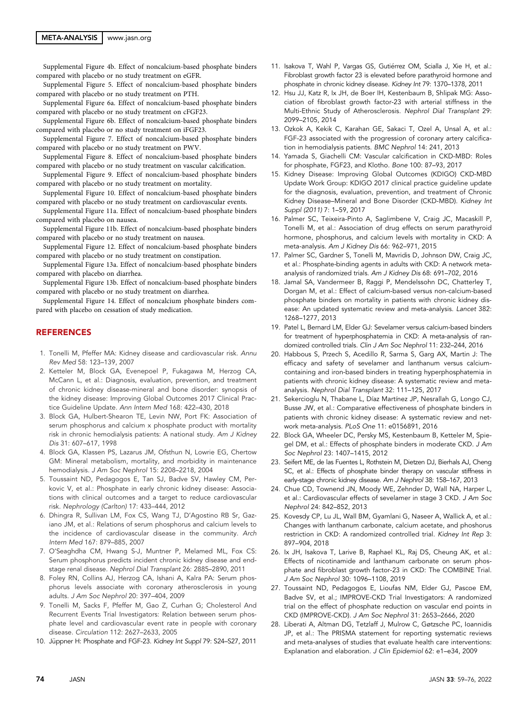#### META-ANALYSIS | [www.jasn.org](https://www.jasn.org)

[Supplemental Figure 4b](http://jasn.asnjournals.org/lookup/suppl/doi:10.1681/ASN.2021040554/-/DCSupplemental). Effect of noncalcium-based phosphate binders compared with placebo or no study treatment on eGFR.

[Supplemental Figure 5](http://jasn.asnjournals.org/lookup/suppl/doi:10.1681/ASN.2021040554/-/DCSupplemental). Effect of noncalcium-based phosphate binders compared with placebo or no study treatment on PTH.

[Supplemental Figure 6a.](http://jasn.asnjournals.org/lookup/suppl/doi:10.1681/ASN.2021040554/-/DCSupplemental) Effect of noncalcium-based phosphate binders compared with placebo or no study treatment on cFGF23.

[Supplemental Figure 6b](http://jasn.asnjournals.org/lookup/suppl/doi:10.1681/ASN.2021040554/-/DCSupplemental). Effect of noncalcium-based phosphate binders compared with placebo or no study treatment on iFGF23.

[Supplemental Figure 7](http://jasn.asnjournals.org/lookup/suppl/doi:10.1681/ASN.2021040554/-/DCSupplemental). Effect of noncalcium-based phosphate binders compared with placebo or no study treatment on PWV.

[Supplemental Figure 8](http://jasn.asnjournals.org/lookup/suppl/doi:10.1681/ASN.2021040554/-/DCSupplemental). Effect of noncalcium-based phosphate binders compared with placebo or no study treatment on vascular calcification.

[Supplemental Figure 9](http://jasn.asnjournals.org/lookup/suppl/doi:10.1681/ASN.2021040554/-/DCSupplemental). Effect of noncalcium-based phosphate binders compared with placebo or no study treatment on mortality.

[Supplemental Figure 10](http://jasn.asnjournals.org/lookup/suppl/doi:10.1681/ASN.2021040554/-/DCSupplemental). Effect of noncalcium-based phosphate binders compared with placebo or no study treatment on cardiovascular events.

[Supplemental Figure 11a.](http://jasn.asnjournals.org/lookup/suppl/doi:10.1681/ASN.2021040554/-/DCSupplemental) Effect of noncalcium-based phosphate binders compared with placebo on nausea.

[Supplemental Figure 11b](http://jasn.asnjournals.org/lookup/suppl/doi:10.1681/ASN.2021040554/-/DCSupplemental). Effect of noncalcium-based phosphate binders compared with placebo or no study treatment on nausea.

[Supplemental Figure 12](http://jasn.asnjournals.org/lookup/suppl/doi:10.1681/ASN.2021040554/-/DCSupplemental). Effect of noncalcium-based phosphate binders compared with placebo or no study treatment on constipation.

[Supplemental Figure 13a.](http://jasn.asnjournals.org/lookup/suppl/doi:10.1681/ASN.2021040554/-/DCSupplemental) Effect of noncalcium-based phosphate binders compared with placebo on diarrhea.

[Supplemental Figure 13b](http://jasn.asnjournals.org/lookup/suppl/doi:10.1681/ASN.2021040554/-/DCSupplemental). Effect of noncalcium-based phosphate binders compared with placebo or no study treatment on diarrhea.

[Supplemental Figure 14](http://jasn.asnjournals.org/lookup/suppl/doi:10.1681/ASN.2021040554/-/DCSupplemental). Effect of noncalcium phosphate binders compared with placebo on cessation of study medication.

## **REFERENCES**

- 1. Tonelli M, Pfeffer MA: Kidney disease and cardiovascular risk. Annu Rev Med 58: 123–139, 2007
- 2. Ketteler M, Block GA, Evenepoel P, Fukagawa M, Herzog CA, McCann L, et al.: Diagnosis, evaluation, prevention, and treatment of chronic kidney disease-mineral and bone disorder: synopsis of the kidney disease: Improving Global Outcomes 2017 Clinical Practice Guideline Update. Ann Intern Med 168: 422–430, 2018
- 3. Block GA, Hulbert-Shearon TE, Levin NW, Port FK: Association of serum phosphorus and calcium x phosphate product with mortality risk in chronic hemodialysis patients: A national study. Am J Kidney Dis 31: 607–617, 1998
- 4. Block GA, Klassen PS, Lazarus JM, Ofsthun N, Lowrie EG, Chertow GM: Mineral metabolism, mortality, and morbidity in maintenance hemodialysis. J Am Soc Nephrol 15: 2208–2218, 2004
- 5. Toussaint ND, Pedagogos E, Tan SJ, Badve SV, Hawley CM, Perkovic V, et al.: Phosphate in early chronic kidney disease: Associations with clinical outcomes and a target to reduce cardiovascular risk. Nephrology (Carlton) 17: 433–444, 2012
- 6. Dhingra R, Sullivan LM, Fox CS, Wang TJ, D'Agostino RB Sr, Gaziano JM, et al.: Relations of serum phosphorus and calcium levels to the incidence of cardiovascular disease in the community. Arch Intern Med 167: 879–885, 2007
- 7. O'Seaghdha CM, Hwang S-J, Muntner P, Melamed ML, Fox CS: Serum phosphorus predicts incident chronic kidney disease and endstage renal disease. Nephrol Dial Transplant 26: 2885–2890, 2011
- 8. Foley RN, Collins AJ, Herzog CA, Ishani A, Kalra PA: Serum phosphorus levels associate with coronary atherosclerosis in young adults. J Am Soc Nephrol 20: 397–404, 2009
- 9. Tonelli M, Sacks F, Pfeffer M, Gao Z, Curhan G; Cholesterol And Recurrent Events Trial Investigators: Relation between serum phosphate level and cardiovascular event rate in people with coronary disease. Circulation 112: 2627–2633, 2005
- 10. Jüppner H: Phosphate and FGF-23. Kidney Int Suppl 79: S24–S27, 2011
- 11. Isakova T, Wahl P, Vargas GS, Gutiérrez OM, Scialla J, Xie H, et al.: Fibroblast growth factor 23 is elevated before parathyroid hormone and phosphate in chronic kidney disease. Kidney Int 79: 1370–1378, 2011
- 12. Hsu JJ, Katz R, Ix JH, de Boer IH, Kestenbaum B, Shlipak MG: Association of fibroblast growth factor-23 with arterial stiffness in the Multi-Ethnic Study of Atherosclerosis. Nephrol Dial Transplant 29: 2099–2105, 2014
- 13. Ozkok A, Kekik C, Karahan GE, Sakaci T, Ozel A, Unsal A, et al.: FGF-23 associated with the progression of coronary artery calcification in hemodialysis patients. BMC Nephrol 14: 241, 2013
- 14. Yamada S, Giachelli CM: Vascular calcification in CKD-MBD: Roles for phosphate, FGF23, and Klotho. Bone 100: 87–93, 2017
- 15. Kidney Disease: Improving Global Outcomes (KDIGO) CKD-MBD Update Work Group: KDIGO 2017 clinical practice guideline update for the diagnosis, evaluation, prevention, and treatment of Chronic Kidney Disease–Mineral and Bone Disorder (CKD-MBD). Kidney Int Suppl (2011) 7: 1–59, 2017
- 16. Palmer SC, Teixeira-Pinto A, Saglimbene V, Craig JC, Macaskill P, Tonelli M, et al.: Association of drug effects on serum parathyroid hormone, phosphorus, and calcium levels with mortality in CKD: A meta-analysis. Am J Kidney Dis 66: 962–971, 2015
- 17. Palmer SC, Gardner S, Tonelli M, Mavridis D, Johnson DW, Craig JC, et al.: Phosphate-binding agents in adults with CKD: A network metaanalysis of randomized trials. Am J Kidney Dis 68: 691–702, 2016
- 18. Jamal SA, Vandermeer B, Raggi P, Mendelssohn DC, Chatterley T, Dorgan M, et al.: Effect of calcium-based versus non-calcium-based phosphate binders on mortality in patients with chronic kidney disease: An updated systematic review and meta-analysis. Lancet 382: 1268–1277, 2013
- 19. Patel L, Bernard LM, Elder GJ: Sevelamer versus calcium-based binders for treatment of hyperphosphatemia in CKD: A meta-analysis of randomized controlled trials. Clin J Am Soc Nephrol 11: 232–244, 2016
- 20. Habbous S, Przech S, Acedillo R, Sarma S, Garg AX, Martin J: The efficacy and safety of sevelamer and lanthanum versus calciumcontaining and iron-based binders in treating hyperphosphatemia in patients with chronic kidney disease: A systematic review and metaanalysis. Nephrol Dial Transplant 32: 111–125, 2017
- 21. Sekercioglu N, Thabane L, Díaz Martínez JP, Nesrallah G, Longo CJ, Busse JW, et al.: Comparative effectiveness of phosphate binders in patients with chronic kidney disease: A systematic review and network meta-analysis. PLoS One 11: e0156891, 2016
- 22. Block GA, Wheeler DC, Persky MS, Kestenbaum B, Ketteler M, Spiegel DM, et al.: Effects of phosphate binders in moderate CKD. J Am Soc Nephrol 23: 1407–1415, 2012
- 23. Seifert ME, de las Fuentes L, Rothstein M, Dietzen DJ, Bierhals AJ, Cheng SC, et al.: Effects of phosphate binder therapy on vascular stiffness in early-stage chronic kidney disease. Am J Nephrol 38: 158–167, 2013
- 24. Chue CD, Townend JN, Moody WE, Zehnder D, Wall NA, Harper L, et al.: Cardiovascular effects of sevelamer in stage 3 CKD. J Am Soc Nephrol 24: 842–852, 2013
- 25. Kovesdy CP, Lu JL, Wall BM, Gyamlani G, Naseer A, Wallick A, et al.: Changes with lanthanum carbonate, calcium acetate, and phoshorus restriction in CKD: A randomized controlled trial. Kidney Int Rep 3: 897–904, 2018
- 26. Ix JH, Isakova T, Larive B, Raphael KL, Raj DS, Cheung AK, et al.: Effects of nicotinamide and lanthanum carbonate on serum phosphate and fibroblast growth factor-23 in CKD: The COMBINE Trial. J Am Soc Nephrol 30: 1096–1108, 2019
- 27. Toussaint ND, Pedagogos E, Lioufas NM, Elder GJ, Pascoe EM, Badve SV, et al.; IMPROVE-CKD Trial Investigators: A randomized trial on the effect of phosphate reduction on vascular end points in CKD (IMPROVE-CKD). J Am Soc Nephrol 31: 2653–2666, 2020
- 28. Liberati A, Altman DG, Tetzlaff J, Mulrow C, Gøtzsche PC, Ioannidis JP, et al.: The PRISMA statement for reporting systematic reviews and meta-analyses of studies that evaluate health care interventions: Explanation and elaboration. J Clin Epidemiol 62: e1–e34, 2009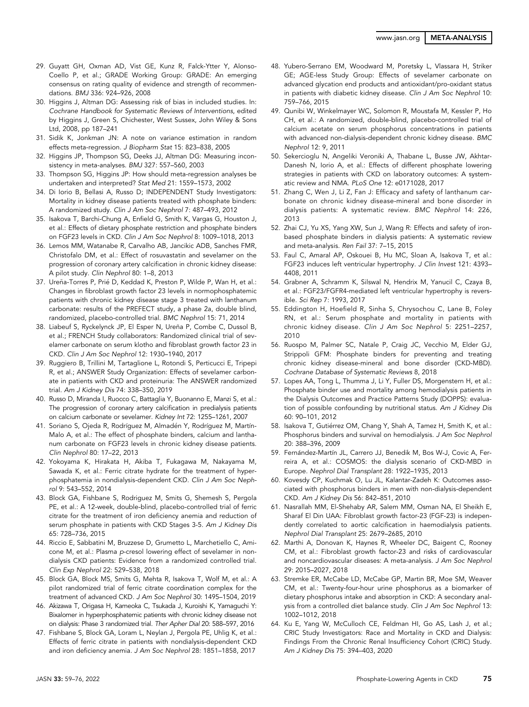- 29. Guyatt GH, Oxman AD, Vist GE, Kunz R, Falck-Ytter Y, Alonso-Coello P, et al.; GRADE Working Group: GRADE: An emerging consensus on rating quality of evidence and strength of recommendations. BMJ 336: 924–926, 2008
- 30. Higgins J, Altman DG: Assessing risk of bias in included studies. In: Cochrane Handbook for Systematic Reviews of Interventions, edited by Higgins J, Green S, Chichester, West Sussex, John Wiley & Sons Ltd, 2008, pp 187–241
- 31. Sidik K, Jonkman JN: A note on variance estimation in random effects meta-regression. J Biopharm Stat 15: 823–838, 2005
- 32. Higgins JP, Thompson SG, Deeks JJ, Altman DG: Measuring inconsistency in meta-analyses. BMJ 327: 557–560, 2003
- 33. Thompson SG, Higgins JP: How should meta-regression analyses be undertaken and interpreted? Stat Med 21: 1559–1573, 2002
- 34. Di Iorio B, Bellasi A, Russo D; INDEPENDENT Study Investigators: Mortality in kidney disease patients treated with phosphate binders: A randomized study. Clin J Am Soc Nephrol 7: 487–493, 2012
- 35. Isakova T, Barchi-Chung A, Enfield G, Smith K, Vargas G, Houston J, et al.: Effects of dietary phosphate restriction and phosphate binders on FGF23 levels in CKD. Clin J Am Soc Nephrol 8: 1009–1018, 2013
- 36. Lemos MM, Watanabe R, Carvalho AB, Jancikic ADB, Sanches FMR, Christofalo DM, et al.: Effect of rosuvastatin and sevelamer on the progression of coronary artery calcification in chronic kidney disease: A pilot study. Clin Nephrol 80: 1–8, 2013
- 37. Ureña-Torres P, Prié D, Keddad K, Preston P, Wilde P, Wan H, et al.: Changes in fibroblast growth factor 23 levels in normophosphatemic patients with chronic kidney disease stage 3 treated with lanthanum carbonate: results of the PREFECT study, a phase 2a, double blind, randomized, placebo-controlled trial. BMC Nephrol 15: 71, 2014
- 38. Liabeuf S, Ryckelynck JP, El Esper N, Ureña P, Combe C, Dussol B, et al.; FRENCH Study collaborators: Randomized clinical trial of sevelamer carbonate on serum klotho and fibroblast growth factor 23 in CKD. Clin J Am Soc Nephrol 12: 1930–1940, 2017
- 39. Ruggiero B, Trillini M, Tartaglione L, Rotondi S, Perticucci E, Tripepi R, et al.; ANSWER Study Organization: Effects of sevelamer carbonate in patients with CKD and proteinuria: The ANSWER randomized trial. Am J Kidney Dis 74: 338–350, 2019
- 40. Russo D, Miranda I, Ruocco C, Battaglia Y, Buonanno E, Manzi S, et al.: The progression of coronary artery calcification in predialysis patients on calcium carbonate or sevelamer. Kidney Int 72: 1255–1261, 2007
- 41. Soriano S, Ojeda R, Rodríguez M, Almadén Y, Rodríguez M, Martín-Malo A, et al.: The effect of phosphate binders, calcium and lanthanum carbonate on FGF23 levels in chronic kidney disease patients. Clin Nephrol 80: 17–22, 2013
- 42. Yokoyama K, Hirakata H, Akiba T, Fukagawa M, Nakayama M, Sawada K, et al.: Ferric citrate hydrate for the treatment of hyperphosphatemia in nondialysis-dependent CKD. Clin J Am Soc Nephrol 9: 543–552, 2014
- 43. Block GA, Fishbane S, Rodriguez M, Smits G, Shemesh S, Pergola PE, et al.: A 12-week, double-blind, placebo-controlled trial of ferric citrate for the treatment of iron deficiency anemia and reduction of serum phosphate in patients with CKD Stages 3-5. Am J Kidney Dis 65: 728–736, 2015
- 44. Riccio E, Sabbatini M, Bruzzese D, Grumetto L, Marchetiello C, Amicone M, et al.: Plasma p-cresol lowering effect of sevelamer in nondialysis CKD patients: Evidence from a randomized controlled trial. Clin Exp Nephrol 22: 529–538, 2018
- 45. Block GA, Block MS, Smits G, Mehta R, Isakova T, Wolf M, et al.: A pilot randomized trial of ferric citrate coordination complex for the treatment of advanced CKD. J Am Soc Nephrol 30: 1495–1504, 2019
- 46. Akizawa T, Origasa H, Kameoka C, Tsukada J, Kuroishi K, Yamaguchi Y: Bixalomer in hyperphosphatemic patients with chronic kidney disease not on dialysis: Phase 3 randomized trial. Ther Apher Dial 20: 588–597, 2016
- 47. Fishbane S, Block GA, Loram L, Neylan J, Pergola PE, Uhlig K, et al.: Effects of ferric citrate in patients with nondialysis-dependent CKD and iron deficiency anemia. J Am Soc Nephrol 28: 1851–1858, 2017
- 48. Yubero-Serrano EM, Woodward M, Poretsky L, Vlassara H, Striker GE; AGE-less Study Group: Effects of sevelamer carbonate on advanced glycation end products and antioxidant/pro-oxidant status in patients with diabetic kidney disease. Clin J Am Soc Nephrol 10: 759–766, 2015
- 49. Qunibi W, Winkelmayer WC, Solomon R, Moustafa M, Kessler P, Ho CH, et al.: A randomized, double-blind, placebo-controlled trial of calcium acetate on serum phosphorus concentrations in patients with advanced non-dialysis-dependent chronic kidney disease. BMC Nephrol 12: 9, 2011
- 50. Sekercioglu N, Angeliki Veroniki A, Thabane L, Busse JW, Akhtar-Danesh N, Iorio A, et al.: Effects of different phosphate lowering strategies in patients with CKD on laboratory outcomes: A systematic review and NMA. PLoS One 12: e0171028, 2017
- 51. Zhang C, Wen J, Li Z, Fan J: Efficacy and safety of lanthanum carbonate on chronic kidney disease-mineral and bone disorder in dialysis patients: A systematic review. BMC Nephrol 14: 226, 2013
- 52. Zhai CJ, Yu XS, Yang XW, Sun J, Wang R: Effects and safety of ironbased phosphate binders in dialysis patients: A systematic review and meta-analysis. Ren Fail 37: 7–15, 2015
- 53. Faul C, Amaral AP, Oskouei B, Hu MC, Sloan A, Isakova T, et al.: FGF23 induces left ventricular hypertrophy. J Clin Invest 121: 4393– 4408, 2011
- 54. Grabner A, Schramm K, Silswal N, Hendrix M, Yanucil C, Czaya B, et al.: FGF23/FGFR4-mediated left ventricular hypertrophy is reversible. Sci Rep 7: 1993, 2017
- 55. Eddington H, Hoefield R, Sinha S, Chrysochou C, Lane B, Foley RN, et al.: Serum phosphate and mortality in patients with chronic kidney disease. Clin J Am Soc Nephrol 5: 2251–2257, 2010
- 56. Ruospo M, Palmer SC, Natale P, Craig JC, Vecchio M, Elder GJ, Strippoli GFM: Phosphate binders for preventing and treating chronic kidney disease-mineral and bone disorder (CKD-MBD). Cochrane Database of Systematic Reviews 8, 2018
- 57. Lopes AA, Tong L, Thumma J, Li Y, Fuller DS, Morgenstern H, et al.: Phosphate binder use and mortality among hemodialysis patients in the Dialysis Outcomes and Practice Patterns Study (DOPPS): evaluation of possible confounding by nutritional status. Am J Kidney Dis 60: 90–101, 2012
- 58. Isakova T, Gutiérrez OM, Chang Y, Shah A, Tamez H, Smith K, et al.: Phosphorus binders and survival on hemodialysis. J Am Soc Nephrol 20: 388–396, 2009
- 59. Fernández-Martín JL, Carrero JJ, Benedik M, Bos W-J, Covic A, Ferreira A, et al.: COSMOS: the dialysis scenario of CKD-MBD in Europe. Nephrol Dial Transplant 28: 1922–1935, 2013
- 60. Kovesdy CP, Kuchmak O, Lu JL, Kalantar-Zadeh K: Outcomes associated with phosphorus binders in men with non-dialysis-dependent CKD. Am J Kidney Dis 56: 842–851, 2010
- 61. Nasrallah MM, El-Shehaby AR, Salem MM, Osman NA, El Sheikh E, Sharaf El Din UAA: Fibroblast growth factor-23 (FGF-23) is independently correlated to aortic calcification in haemodialysis patients. Nephrol Dial Transplant 25: 2679–2685, 2010
- 62. Marthi A, Donovan K, Haynes R, Wheeler DC, Baigent C, Rooney CM, et al.: Fibroblast growth factor-23 and risks of cardiovascular and noncardiovascular diseases: A meta-analysis. J Am Soc Nephrol 29: 2015–2027, 2018
- 63. Stremke ER, McCabe LD, McCabe GP, Martin BR, Moe SM, Weaver CM, et al.: Twenty-four-hour urine phosphorus as a biomarker of dietary phosphorus intake and absorption in CKD: A secondary analysis from a controlled diet balance study. Clin J Am Soc Nephrol 13: 1002–1012, 2018
- 64. Ku E, Yang W, McCulloch CE, Feldman HI, Go AS, Lash J, et al.; CRIC Study Investigators: Race and Mortality in CKD and Dialysis: Findings From the Chronic Renal Insufficiency Cohort (CRIC) Study. Am J Kidney Dis 75: 394–403, 2020